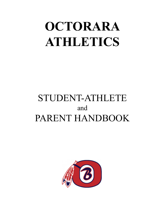# **OCTORARA ATHLETICS**

# STUDENT-ATHLETE and PARENT HANDBOOK

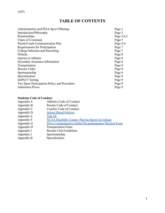# **TABLE OF CONTENTS**

| Administration and PIAA Sport Offerings      | Page 1     |
|----------------------------------------------|------------|
| Introduction/Philosophy                      | Page 3     |
| Relationships                                | Page 3,4,5 |
| Chain of Command                             | Page 5     |
| Parent/Coach Communication Plan              | Page 5-6   |
| Requirements for Participation               | Page 7     |
| College Selection and Recruiting             | Page 7     |
| Website                                      | Page 8     |
| Injuries to Athletes                         | Page 8     |
| Secondary Insurance Information              | Page 8     |
| Transportation                               | Page 8     |
| <b>Booster Clubs</b>                         | Page 8     |
| Sportsmanship                                | Page 8     |
| Specialization                               | Page 8     |
| <b>ImPACT</b> Testing                        | Page 9     |
| Two Sport Participation Policy and Procedure | Page 9     |
| <b>Admission Prices</b>                      | Page 9     |

#### **Students Code of Conduct**

| Athletics Code of Conduct                                         |
|-------------------------------------------------------------------|
| Parents Code of Conduct                                           |
| Coaches Code of Conduct                                           |
| <b>School Board Policies</b>                                      |
| <b>Title IX</b>                                                   |
| <b>NCAA Eligibility Center- Playing Sports In College</b>         |
| <b>PIAA Comprehensive Initial Pre-participation Physical Form</b> |
| <b>Transportation Form</b>                                        |
| <b>Booster Club Guidelines</b>                                    |
| Sportsmanship                                                     |
| Specialization                                                    |
|                                                                   |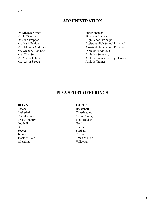### **ADMINISTRATION**

Dr. Michele Orner Superintendent Mr. Jeff Curtis Business Manager Mr. Gregory Fantazzi Director of Athletics Mrs. Tina Sult Athletics Secretary Mr. Austin Stroda **Athletic Trainer** 

Dr. John Propper High School Principal Mr. Mark Pettica Assistant High School Principal Mrs. Melissa Andrews Assistant High School Principal Mr. Michael Duek Athletic Trainer /Strength Coach

### **PIAA SPORT OFFERINGS**

Baseball Basketball Football Golf Golf Soccer Soccer Soccer Softball Tennis Tennis Wrestling Volleyball

#### **BOYS GIRLS**

Basketball Cheerleading Cheerleading Cross Country Cross Country Field Hockey Track & Field Track & Field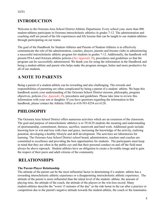# **INTRODUCTION**

Welcome to the Octorara Area School District Athletic Department. Every school year, more than 800 student-athletes participate in Octorara interscholastic athletics in grades 7-12. The administration and coaching staff are proud of the life experiences and life lessons that can be taught to our student-athletes through participating on our teams.

The goal of the Handbook for Student-Athletes and Parents of Student-Athletes is to effectively communicate the role of the administration, coaches, players, parents and booster clubs in administering a successful interscholastic athletic program for students in grades 7-12. Additionally, the handbook will present PIAA and Octorara athletic policies (*See Appendix D*), procedures and guidelines so that the program can be successfully administered. We thank you for using the information in the Handbook and being a student-athlete and parent who helps make the program stronger, better and more productive for all of our students.

# **A NOTE TO PARENTS**

Being a parent of a student-athlete can be rewarding and also challenging. The rewards and responsibilities of parenting are often complicated by being a parent of a student- athlete. We hope this handbook assists your understanding of the Octorara School District mission, philosophy, program objectives, policies (*See Appendix D*), procedures and guidelines. Please take time to review this information with your son or daughter. If you have questions regarding the information in this handbook, please contact the Athletic Office at 610-593-8254 ext 6128.

# **PHILOSOPHY**

The Octorara Area School District offers numerous activities which are an extension of the classroom. The goal and purpose of interscholastic athletics is to TEACH students the meaning and understanding of sportsmanship, commitment, fairness, sacrifice, teamwork and hard work. Additional goals include knowing how to win and lose with class and grace, increasing the knowledge of the activity, realizing potential, developing a healthy lifestyle and skill development. The activities are laboratories for learning. The Octorara Area School District school board, administrators, teachers and coaches are committed to excellence and providing the best opportunities for students. The participants must keep in mind that they are often in the public eye and that their personal conduct on and off the field must always be above reproach. Student athletes have an obligation to create a favorable image and to gain the respect of their peers and adult citizens of the community.

# **RELATIONSHIPS**

#### **The Parent-Player Relationship**

The attitude of the parent can be the most influential factor in determining if a student- athlete has a rewarding interscholastic athletic experience or a disappointing interscholastic athletic experience. The attitude of the parent is more influential than the talent level of the student- athlete, the amount of playing time, the attitude of the coach, the attitude of the players or the win-loss record. Many student-athletes describe the "worst 15 minutes of the day" as the ride home in the car after a practice or competition due to the parent's negative attitude towards the student-athlete, the coach or the teammates.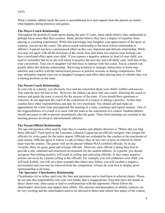What a student- athlete needs the most is unconditional love and support from the parents no matter what happens during practices and games.

#### **The Player-Coach Relationship**

Throughout the growth of youth sports during the past 25 years, many adults believe they understand or perhaps know more than their coaches. Many parents believe they have a degree of expertise from playing or coaching experiences. While this knowledge may heighten your appreciation of the sport, as a parent, you are not the coach. The player-coach relationship is the most critical relationship in athletics. A parent can have a pronounced effect on this very important and delicate relationship. While you may not agree with all the decisions of the coach, how and when you express your feelings can have a profound effect upon your child. If you express a negative opinion in front of your child, you need to remember that he or she will return to practice the next day and will likely carry with him or her your convictions. Your son or daughter will then have to interact with this coach. You as a parent can greatly affect this delicate relationship. Receiving technical or strategic instructions at home may interfere and conflict with the instructional process at practice sessions or during competitions. This may ultimately impede your son or daughter's progress and affect their playing time or whether they win a starting position on the team.

#### **The Parent-Coach Relationship**

In your role as a parent, you obviously love and are concerned about your child's welfare and success. You want the best for him or her. However, the athlete can have only one coach. Allowing the coach to instruct and guide the team is crucial for the success of the team. If you should have questions or concerns, do not approach the coach at the conclusion of a contest or during a practice. At this time coaches have other responsibilities and may be very emotional. You should call and make an appointment for a later time and approach the meeting in a calm, courteous and logical manner. One of the responsibilities of a coach is to meet with the team at the conclusion of a contest. Student-athletes should not pause to talk to parents immediately after the game. These brief meetings are essential to the learning process involved in interscholastic athletics.

#### **The Parent-Official Relationship**

The age-old question often used by irate fans to coaches and athletic directors is "Where did you find these officials?" Each sport in the Lancaster Lebanon League has an official's assignor who assigns the officials for every game for the entire season. Officials are evaluated by the coaches at the conclusion of each season. Officials agree to follow a code of ethics; they do not care or have an interest in which team wins the contest. The games will not be played without PIAA certified officials. As in any vocation, there are great, good and average officials. However, each official is doing their best to provide a safe, unbiased and structured environment for the student-athletes. As a parent, you should recognize that nothing positive will result in yelling and criticizing officials. In fact, many negative actions can occur by a parent yelling at the officials. For example, you will embarrass your child, you will look foolish, you will set a poor example that others may follow, you will escalate a negative environment and you may be removed from the competition. Always do your best to display good sportsmanship at all times.

#### **The Spectator- Cheerleaders Relationship**

Cheerleaders try to infuse spirit into the fans and spectators and to lead them in selected cheers. Please do not take this responsibility into your own hands; that is inappropriate. Fans that leave the stands to direct cheers may often cause or lead to confrontations with the opponents. Please follow the cheerleaders' directions and support their efforts. The emotion and atmosphere at athletic contests can be very exciting and the cheerleaders need to be allowed to direct and control this aspect of the contest.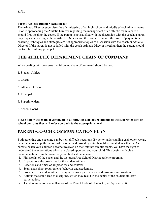#### **Parent-Athletic Director Relationship**

The Athletic Director supervises the administering of all high school and middle school athletic teams. Prior to approaching the Athletic Director regarding the management of an athletic team, a parent should first speak to the coach. If the parent is not satisfied with the discussion with the coach, a parent may request a meeting with the Athletic Director and the coach. However, the issue of playing time, coaching techniques and strategies are not appropriate topics of discussion with the coach or Athletic Director. If the parent is not satisfied with the coach-Athletic Director meeting, then the parent should contact the building principal.

# **THE ATHLETIC DEPARTMENT CHAIN OF COMMAND**

When dealing with concerns the following chain of command should be used:

- 1. Student-Athlete
- 2. Coach
- 3. Athletic Director
- 4. Principal
- 5. Superintendent
- 6. School Board

**Please follow the chain of command in all situations, do not go directly to the superintendent or school board as they will refer you back to the appropriate level.**

# **PARENT/COACH COMMUNICATION PLAN**

Both parenting and coaching can be very difficult vocations. By better understanding each other, we are better able to accept the actions of the other and provide greater benefit to our student-athletes. As parents, when your children become involved on the Octorara athletic teams, you have the right to understand the expectations which are placed upon you and your child. This begins with clear communication from the coach of your child's athletic team.

- 1. Philosophy of the coach and the Octorara Area School District athletic program.
- 2. Expectations the coach has for the student-athlete.
- 3. Locations and times of all practices and contests.
- 4. Team and school requirements-behavior and academics.
- 5. Procedure if a student-athlete is injured during participation and insurance information.
- 6. Actions that could lead to discipline, which may result in the denial of the student-athlete's participation.
- 7. The dissemination and collection of the Parent Code of Conduct. (See Appendix B)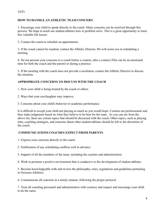#### 12/21

#### **HOW TO HANDLE AN ATHLETIC TEAM CONCERN**

1. Encourage your child to speak directly to the coach. Many concerns can be resolved through this process. We hope to teach our student-athletes how to problem solve. This is a great opportunity to learn this valuable life lesson.

2. Contact the coach to schedule an appointment.

3. If the coach cannot be reached, contact the Athletic Director. We will assist you in scheduling a meeting.

4. Do not present your concerns to a coach before a contest, after a contest (This can be an emotional time for both the coach and the parent) or during a practice.

5. If the meeting with the coach does not provide a resolution, contact the Athletic Director to discuss the situation.

#### **APPROPRIATE CONCERNS TO DISCUSS WITH THE COACH**

- 1. How your child is being treated by the coach or others.
- 2. Ways that your son/daughter may improve.
- 3. Concerns about your child's behavior or academic performance.

It is difficult to accept your child not playing as much as you would hope. Coaches are professionals and they make judgments based on what they believe to be best for the team. As you can see from the above list, there are certain topics that should be discussed with the coach. Other topics, such as playing time, coaching strategies, and concerns about other student-athletes should be left to the discretion of the coach.

#### **COMMUNICATIONS COACHES EXPECT FROM PARENTS**

- 1. Express your concerns directly to the coach.
- 2. Notification of any scheduling conflicts well in advance.
- 3. Support of all the members of the team, including the coaches and administration.
- 4. Work to promote a positive environment that is conducive to the development of student-athletes.

5. Become knowledgeable with and review the philosophy, rules, regulations and guidelines pertaining to Octorara Athletics.

6. Communicate all concerns in a timely manner, following the proper protocol.

7. Treat all coaching personnel and administrators with courtesy and respect and encourage your child to do the same.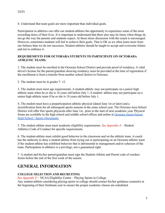8. Understand that team goals are more important than individual goals.

Participation in athletics can offer our student-athletes the opportunity to experience some of the most rewarding times of their lives. It is important to understand that there also may be times when things do not go the way the parents and students expect. At those times discussion with the coach is encouraged. However, sometimes students will fail to achieve their goals. That is OK as we often learn more from our failures than we do our successes. Student-athletes should be taught to accept and overcome failure and not to embrace it.

#### **REQUIREMENTS FOR OCTORARA STUDENTS TO PARTICIPATE ON OCTORARA ATHLETIC TEAMS.**

1. The student must be enrolled in the Octorara School District and provide proof of residency. A valid driver's license for the parent/guardian showing residency must be provided at the time of registration if the enrollment is from a transfer from another school district to Octorara.

2. The student must be in grades 7- 12.

3. The student must meet age requirements. A student-athlete may not participate on a junior high athletic team when he or she is 16 years old before July 1. A student- athlete may not participate on a senior high athletic team if he or she is 19 years old before July 1.

4. The student must have a preparticipation athletic physical (dated June 1st or later) and a recertification form for all subsequent sports seasons in the same school year. The Octorara Area School District will offer free sports physicals after June 1st, prior to the start of next academic year. Physical forms are available in the high school and middle school offices and online at Octorara [Junior-Senior](https://pa50000610.schoolwires.net/Page/379) High School / Sports [Documents.](https://pa50000610.schoolwires.net/Page/379)

5. The student athlete must meet academic eligibility requirements. *See Appendix A* – Student Athletics Code of Conduct for specific requirements.

6. The student-athlete must exhibit good behavior in the classroom and on the athletic team. A coach has the authority to deny a student-athlete from trying out or participating on an Octorara athletic team if the student-athlete has exhibited behavior that is detrimental to management and/or cohesion of the team. Participation in athletics is a privilege, not a guaranteed right.

7. A student and his/her parent/guardian must sign the Student-Athlete and Parent code of conduct forms before the end of the first week of the season.

# **GENERAL INFORMATION**

#### **COLLEGE SELECTION AND RECRUITING**

*See Appendix F* – NCAA Eligibility Center – Playing Sports in College

Any student-athlete considering playing sports in college should contact his/her guidance counselor at the beginning of their freshman year to ensure the proper academic classes are scheduled.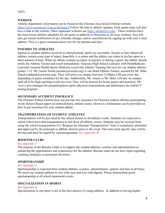#### **WEBSITE**

Athletic department information can be found on the Octorara Area School District website <https://www.octorara.k12.pa.us/Domain/4> Follow the link to athletic updates. Each sports team will also have a link to the website. Other important websites are <https://arbiterlive.com/>. These websites have the most recent athletic schedules for all sports in addition to directions to all away contests. You will also get instant notification of any schedule changes and/or cancellations by signing up with your e-mail address. This is a great communication tool for our parents and fans.

#### **INJURIES TO ATHLETES**

Injuries to student-athletes involved in interscholastic sports are inevitable. Sooner or later almost all athletes sustain some type of injury, hopefully it is minor and the athlete can return to his/her sport in a short amount of time. When an athlete sustains an injury in practice or during a game, the athlete should notify the Athletic Trainer and coach immediately. Octorara High School contracts with PennMedicine Lancaster General Health Sports Medicine to provide Athletic Training Services for our student athletes grades 7-12. Mr. Austin Sroda (asroda@octorara.org) is our Head Athletic Trainer, assisted by Mr. Mike Dueck (mdueck@octorara.org). They will arrive on campus between 12:00pm-2:00 pm every day depending on game schedules for the day. Additionally, Mr. Austin or Mr. Mike will stay on campus until all Jr/Sr High sporting events are over. They will be present for home games and practices. Mr. Austin also manages the preparticipation sports physical examinations and administers the ImPACT testing program.

#### **SECONDARY ACCIDENT INSURANCE**

The Octorara School District does not provide free insurance for Octorara student-athletes participating on the School Board approved interscholastic athletic teams. However, information can be provided on how to get insurance for your student athlete.

#### **TRANSPORTATION OF STUDENT- ATHLETES**

Transportation will be provided by the school district to all athletic events. Students are expected to utilize school provided transportation to and from all athletic events. Students may be excused from using the school transportation if a "Request for Alternate Transportation" form is completed, submitted and approved by the principal or athletic director prior to the event. This note must specify who will be driving and must be signed by a parent/guardian. *See Appendix H*

#### **BOOSTER CLUBS**

#### *See Appendix I*

The purpose of the Booster Clubs is to support the student-athletes, coaches and administration in enhancing the opportunities and experiences for the athletes. Booster clubs do not have input regarding coaching strategies or personnel decisions.

#### **SPORTSMANSHIP**

#### *See Appendix J*

Sportsmanship is expected from student-athletes, coaches, administrators, parents and fans at all times. We teach our student-athletes to win with class and lose with dignity. Please demonstrate good sportsmanship at all school sponsored events.

#### **SPECIALIZATION IN SPORTS**

#### *See Appendix K*

Specialization in one sport is not in the best interest of young athletes. In addition to having higher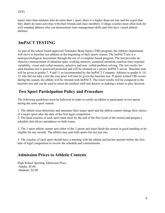injury rates than students who do more than 1 sport, there is a higher drop-out rate and the regret that they didn't do more activities with their friends and class members. College coaches most often look for well rounded athletes who can demonstrate time management skills and who have varied athletic abilities.

# **ImPACT TESTING**

As part of the school board approved Traumatic Brain Injury (TBI) program, the Athletic Department will strive to baseline test athletes at the beginning of their sports season. The ImPACT test is a neuropsychological assessment through the use of a computer based program. The test provides an objective measurement of attention span, working memory, sustained attention, reaction time response variability, visual and verbal memory, selective and non- verbal problem solving. The test results for each baseline test is password protected and will be retained on a secure ImPACT server. Baseline tests will be given in grades 7, 9 and 11 as recommended by the ImPACT Company. Athletes in grades 8, 10, 12 who did not take a test the year prior will also be given the baseline test. If sports related TBI occurs during the season, the athlete will be retested with ImPACT. The retest results will be compared to the baseline test and can be used to assist the medical staff and doctors in making a return to play decision.

### **Two Sport Participation Policy and Procedure**

The following guidelines must be followed in order to certify an athlete to participate in two sports during the same sport season:

1. The athlete must determine and announce their major sport and the athlete cannot change their choice of a major sport after the date of the first legal competition.

2. The head coaches of each sport must meet by the end of the first week of the season and prepare a schedule that allows attendance on both teams.

3. The 2 sport athlete cannot quit either of the 2 sports and must finish the season in good standing to be eligible for any awards. The athlete may quit both sports but not just one.

4. The coaches of each sport should have a meeting with the athlete and his/her parents before the first date of legal competition to review the schedule and commitments.

### **Admission Prices to Athletic Contests**

High School Sporting Admission Price: -Adults: \$5.00 -Students: \$3.00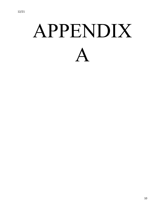# APPENDIX A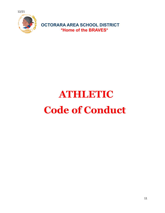

# **ATHLETIC Code of Conduct**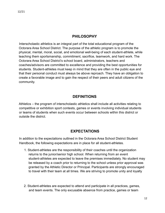### **PHILOSOPHY**

Interscholastic athletics is an integral part of the total educational program of the Octorara Area School District. The purpose of the athletic program is to promote the physical, mental, moral, social, and emotional well-being of each student-athlete, while teaching them sportsmanship, commitment, sacrifice, teamwork, and hard work. The Octorara Area School District's school board, administrators, teachers and coaches/advisors are committed to excellence and providing the best opportunities for students. Student-athletes must keep in mind that they are often in the public eye and that their personal conduct must always be above reproach. They have an obligation to create a favorable image and to gain the respect of their peers and adult citizens of the community.

### **DEFINITIONS**

Athletics – the program of interscholastic athletics shall include all activities relating to competitive or exhibition sport contests, games or events involving individual students or teams of students when such events occur between schools within this district or outside the district.

### **EXPECTATIONS**

In addition to the expectations outlined in the Octorara Area School District Student Handbook, the following expectations are in place for all student-athletes.

- 1. Student-athletes are the responsibility of their coaches until the organization returns to the junior/senior high school. When returning from an event student-athletes are expected to leave the premises immediately. No student may be released by a coach prior to returning to the school unless prior approval was granted by the Athletic Director or Principal. Participants are strongly encouraged to travel with their team at all times. We are striving to promote unity and loyalty
- 2. Student-athletes are expected to attend and participate in all practices, games, and team events. The only excusable absence from practice, games or team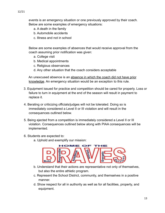events is an emergency situation or one previously approved by their coach.

Below are some examples of emergency situations:

- a. A death in the family
- b. Automobile accidents
- c. Illness and not in school

Below are some examples of absences that would receive approval from the coach assuming prior notification was given:

- a. College visit
- b. Medical appointments
- c. Religious observances
- d. Any other situation that the coach considers acceptable

An unexcused absence is an absence in which the coach did not have prior knowledge. An emergency situation would be an exception to this rule.

- 3. Equipment issued for practice and competition should be cared for properly. Loss or failure to turn in equipment at the end of the season will result in payment to replace it.
- 4. Berating or criticizing officials/judges will not be tolerated. Doing so is immediately considered a Level II or III violation and will result in the consequences outlined below.
- 5. Being ejected from a competition is immediately considered a Level II or III violation. Consequences outlined below along with PIAA consequences will be implemented.
- 6. Students are expected to:
	- a. Uphold and exemplify our mission:



- b. Understand that their actions are representative not only of themselves, but also the entire athletic program.
- c. Represent the School District, community, and themselves in a positive manner.
- d. Show respect for all in authority as well as for all facilities, property, and equipment.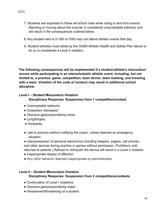- 7. Students are expected to follow all school rules while riding to and from events. Standing or moving about the bus/van is considered unacceptable behavior and will result in the consequences outlined below.
- 8. Any student who is in ISS or OSS may not attend athletic events that day.
- 9. Student-athletes must abide by the OASD Athletic Health and Safety Plan failure to do so is considered a Level II violation.

**The following consequences will be implemented if a student-athlete's misconduct occurs while participating in an interscholastic athletic event, including, but not limited to, a practice, game, competition, team dinner, team meeting, and traveling with a team. Violation of the code of conduct may result in additional school discipline.**

#### **Level I – Student Misconduct Violation**

**Disciplinary Response: Suspension from 1 competition/contest.**

- Unacceptable behavior
- Outspoken disrespect
- Obscene gestures/profanity-minor
- Lying/forgery
- Horseplay
- Late to practice without notifying the coach, unless deemed an emergency situation.
- Use/possession of personal electronics including beepers, pagers, cell phones, and other devices during practice or games without permission. (Forfeiture until returned to parents.) Refusal to relinquish the device will result in a Level II violation.
- Inappropriate display of affection
- Any other behavior deemed inappropriate by administration

### **Level II – Student Misconduct Violation**

#### **Disciplinary Response: Suspension from 2 competitions/contests.**

- Continuation of Level I violations
- Obscene gestures/profanity-major
- Harassment/threatening of a student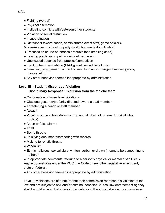- Fighting (verbal)
- Physical altercation
- Instigating conflicts with/between other students
- Violation of social restriction
- Insubordination
- Disrespect toward coach, administrator, event staff, game official Misuse/abuse of school property (restitution made if applicable)
- Possession or use of tobacco products (see smoking code)
- Leaving practice/competition without permission
- Unexcused absence from practice/competition
- Ejection from competition (PIAA guidelines will be followed)
- Gambling (any game or action that results in an exchange of money, goods, favors, etc.)
- Any other behavior deemed inappropriate by administration

#### **Level III – Student Misconduct Violation**

#### **Disciplinary Response: Expulsion from the athletic team.**

- Continuation of lower level violations
- Obscene gestures/profanity directed toward a staff member
- Threatening a coach or staff member
- Assault
- Violation of the school district's drug and alcohol policy (see drug & alcohol policy)
- Arson or false alarms
- Theft
- Bomb threats
- Falsifying documents/tampering with records
- Making terroristic threats
- Vandalism
- Ethnic, religious, sexual slurs; written, verbal, or drawn (meant to be demeaning to others)

● In appropriate comments referring to a person's physical or mental disabilities ● Any act punishable under the PA Crime Code or any other legislative enactment, state or federal.

• Any other behavior deemed inappropriate by administration

Level III violations are of a nature that their commission represents a violation of the law and are subject to civil and/or criminal penalties. A local law enforcement agency shall be notified about offenses in this category. The administration may consider an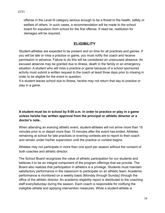offense in the Level III category serious enough to be a threat to the health, safety or welfare of others. In such cases, a recommendation will be made to the school board for expulsion from school for the first offense. If need be, restitution for damages will be required.

### **ELIGIBILITY**

Student-athletes are expected to be present and on time for all practices and games. If you will be late or miss a practice or game, you must notify the coach and receive permission in advance. Failure to do this will be considered an unexcused absence. An excused absence may be granted due to illness, death in the family or an emergency situation. A student who will miss a practice or game because of a school sponsored activity must submit a written request to the coach at least three days prior to missing in order to be eligible for the event in question.

If a student leaves school due to illness, he/she may not return that day to practice or play in a game.

#### **A student must be in school by 9:00 a.m. in order to practice or play in a game unless he/she has written approval from the principal or athletic director or a doctor's note..**

When attending an evening athletic event, student-athletes will not arrive more than 15 minutes prior to or depart more than 15 minutes after the event has ended. Athletes remaining at school for late practices or evening contests are to report to their coach and remain under his/her supervision until the practice or contest begins.

Athletes may not participate in more than one sport per season without the consent of both coaches and athletic director.

The School Board recognizes the value of athletic participation for our students and believes it to be an integral component of the program offerings that we provide. The Board also realizes that participation in athletics is a privilege. Students must maintain satisfactory performance in the classroom to participate on an athletic team. Academic performance is monitored on a weekly basis (Monday through Sunday) through the office of the athletic director. An academic eligibility report is distributed to the coaching staff everySaturday during the season. Each coach is responsible for notifying the ineligible athlete and applying intervention measures. While a student-athlete is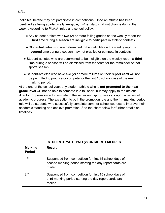ineligible, he/she may not participate in competitions. Once an athlete has been identified as being academically ineligible, his/her status will not change during that week. . According to P.I.A.A. rules and school policy:

- Any student-athlete with two (2) or more failing grades on the weekly report the **first** time during a season are ineligible to participate in athletic contests.
- Student-athletes who are determined to be ineligible on the weekly report a **second** time during a season may not practice or compete in contests.
- Student-athletes who are determined to be ineligible on the weekly report a **third** time during a season will be dismissed from the team for the remainder of that sports season.
- Student-athletes who have two (2) or more failures on their **report card** will not be permitted to practice or compete for the first 15 school days of the next marking period.

At the end of the school year, any student-athlete who is **not promoted to the next grade level** will not be able to compete in a fall sport, but may apply to the athletic director for permission to compete in the winter and spring seasons upon a review of academic progress. The exception to both the promotion rule and the 4th marking period rule will be students who successfully complete summer school courses to improve their academic standing and achieve promotion. See the chart below for further details on timelines.

| <b>Marking</b><br><b>Period</b> | <b>Result</b>                                                                                                                |
|---------------------------------|------------------------------------------------------------------------------------------------------------------------------|
| 1st                             | Suspended from competition for first 15 school days of<br>second marking period starting the day report cards are<br>mailed. |
| 2 <sub>nd</sub>                 | Suspended from competition for first 15 school days of<br>third marking period starting the day report cards are<br>mailed.  |

#### **STUDENTS WITH TWO (2) OR MORE FAILURES**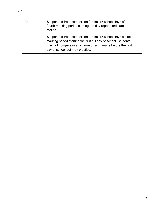| 3 <sup>rd</sup>           | Suspended from competition for first 15 school days of<br>fourth marking period starting the day report cards are<br>mailed.                                                                                                   |
|---------------------------|--------------------------------------------------------------------------------------------------------------------------------------------------------------------------------------------------------------------------------|
| $\mathcal{A}^{\text{th}}$ | Suspended from competition for first 15 school days of first<br>marking period starting the first full day of school. Students<br>may not compete in any game or scrimmage before the first<br>day of school but may practice. |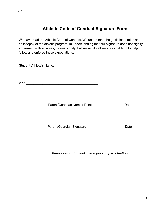12/21

# **Athletic Code of Conduct Signature Form**

We have read the Athletic Code of Conduct. We understand the guidelines, rules and philosophy of the athletic program. In understanding that our signature does not signify agreement with all areas, it does signify that we will do all we are capable of to help follow and enforce these expectations.

Student-Athlete's Name: **Example 2018** 

Sport:\_\_\_\_\_\_\_\_\_\_\_\_\_\_\_\_\_\_\_\_\_\_\_\_\_\_\_\_\_\_\_\_\_\_\_\_\_\_\_\_

Parent/Guardian Name ( Print) Date

Parent/Guardian Signature Date Date

*Please return to head coach prior to participation*

 $\mathcal{L}_\text{max} = \frac{1}{2} \sum_{i=1}^n \frac{1}{2} \sum_{i=1}^n \frac{1}{2} \sum_{i=1}^n \frac{1}{2} \sum_{i=1}^n \frac{1}{2} \sum_{i=1}^n \frac{1}{2} \sum_{i=1}^n \frac{1}{2} \sum_{i=1}^n \frac{1}{2} \sum_{i=1}^n \frac{1}{2} \sum_{i=1}^n \frac{1}{2} \sum_{i=1}^n \frac{1}{2} \sum_{i=1}^n \frac{1}{2} \sum_{i=1}^n \frac{1}{2} \sum_{i=1}^n$ 

 $\mathcal{L}_\text{max} = \frac{1}{2} \sum_{i=1}^n \frac{1}{2} \sum_{i=1}^n \frac{1}{2} \sum_{i=1}^n \frac{1}{2} \sum_{i=1}^n \frac{1}{2} \sum_{i=1}^n \frac{1}{2} \sum_{i=1}^n \frac{1}{2} \sum_{i=1}^n \frac{1}{2} \sum_{i=1}^n \frac{1}{2} \sum_{i=1}^n \frac{1}{2} \sum_{i=1}^n \frac{1}{2} \sum_{i=1}^n \frac{1}{2} \sum_{i=1}^n \frac{1}{2} \sum_{i=1}^n$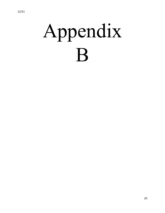# Appendix B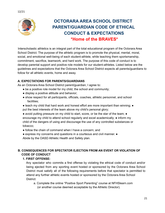

# **OCTORARA AREA SCHOOL DISTRICT PARENT/GUARDIAN CODE OF ETHICAL CONDUCT & EXPECTATIONS \*Home of the BRAVES\***

Interscholastic athletics is an integral part of the total educational program of the Octorara Area School District. The purpose of the athletic program is to promote the physical, mental, moral, social, and emotional well-being of each student-athlete, while teaching them sportsmanship, commitment, sacrifice, teamwork, and hard work. The purpose of this code of conduct is to develop parental support and positive role models for our student-athletes. Listed below are the guidelines and expectations that the Octorara Area School District expects all parents/guardians to follow for all athletic events, home and away.

#### **A. EXPECTATIONS FOR PARENTS/GUARDIANS**

As an Octorara Area School District parent/guardian, I agree to:

- be a positive role model for my child, the school and community;
- display a positive attitude and behavior;
- show respect for all participants, officials, coaches, athletic personnel, and school facilities;
- teach my child that hard work and honest effort are more important than winning; put the best interests of the team above my child's personal glory;
- avoid putting pressure on my child to start, score, or be the star of the team; encourage my child to attend school regularly and excel academically;  $\bullet$  inform my child of the dangers of using and discourage the use of any controlled substances or tobacco;
- follow the chain of command when I have a concern; and
- express my concerns and questions in a courteous and civil manner. ●

Abide by the OASD Athletic Health and Safety plan.

#### **B. CONSEQUENCES FOR SPECTATOR EJECTION FROM AN EVENT OR VIOLATION OF CODE OF CONDUCT**

#### **1. FIRST OFFENSE:**

Any spectator who commits a first offense by violating the ethical code of conduct and/or being ejected from any sporting event hosted or sponsored by the Octorara Area School District must satisfy all of the following requirements before that spectator is permitted to attend any further athletic events hosted or sponsored by the Octorara Area School District:

a. Complete the online "Positive Sport Parenting" course at NFHSlearn.com (or another course deemed acceptable by the Athletic Director).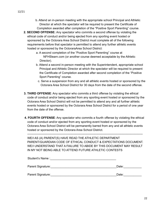- b. Attend an in-person meeting with the appropriate school Principal and Athletic Director at which the spectator will be required to present the Certificate of Completion awarded after completion of the "Positive Sport Parenting" course.
- **2. SECOND OFFENSE:** Any spectator who commits a second offense by violating the ethical code of conduct and/or being ejected from any sporting event hosted or sponsored by the Octorara Area School District must complete all of the following requirements before that spectator is permitted to attend any further athletic events hosted or sponsored by the OctoraraArea School District:
	- a. A second completion of the "Positive Sport Parenting" course at NFHSlearn.com (or another course deemed acceptable by the Athletic Director).
	- b. Attend a second in-person meeting with the Superintendent, appropriate school Principal and Athletic Director at which the spectator will be required to present the Certificate of Completion awarded after second completion of the "Positive Sport Parenting" course.
		- c. Serve a suspension from any and all athletic events hosted or sponsored by the Octorara Area School District for 30 days from the date of the second offense.
- **3. THIRD OFFENSE**: Any spectator who commits a third offense by violating the ethical code of conduct and/or being ejected from any sporting event hosted or sponsored by the Octorara Area School District will not be permitted to attend any and all further athletic events hosted or sponsored by the Octorara Area School District for a period of one year from the date of the offense.
- **4. FOURTH OFFENSE**: Any spectator who commits a fourth offense by violating the ethical code of conduct and/or ejected from any sporting event hosted or sponsored by the Octorara Area School District will be permanently barred from any and all athletic events hosted or sponsored by the Octorara Area School District.

--------------------------------------------------------------------------------------------------------------------- WE/I AS (A) PARENT(S) HAVE READ THE ATHLETIC DEPARTMENT PARENT/GUARDIAN CODE OF ETHICAL CONDUCT & EXPECTATIONS DOCUMENT. WE/I UNDERSTAND THAT A FAILURE TO ABIDE BY THIS DOCUMENT MAY RESULT IN MY NOT BEING ABLE TO ATTEND FUTURE ATHLETIC CONTESTS

| Student's Name:   |       |
|-------------------|-------|
| Parent Signature: | Date: |
| Parent Signature: | Date: |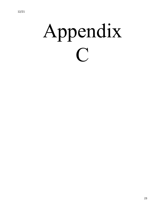# Appendix  $\bigcap$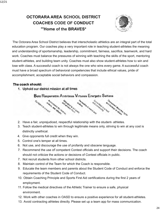# **OCTORARA AREA SCHOOL DISTRICT COACHES CODE OF CONDUCT "'Home of the BRAVES\***



The Octorara Area School District believes that interscholastic athletics are an integral part of the total education program. Our coaches play a very important role in teaching student-athletes the meaning and understanding of sportsmanship, leadership, commitment, fairness, sacrifice, teamwork, and hard work. Coaches must balance the pressures of winning with teaching the skills of the sport, mentoring student-athletes, and building team unity. Coaches must also show student-athletes how to win and lose with class. A successful coach is not always the one who wins every game. A successful coach must have a broad spectrum of behavioral competencies that include ethical values, pride of accomplishment, acceptable social behaviors and compassion.

#### The coach should:

1. Uphold our district mission at all times

Bold Responsible Ambitious Virtuous Energetic Selfless



- 
- 3. Teach student-athletes to win through legitimate means only, striving to win at any cost is distinctly unethical.
- 4. Give opponents full credit when they win.
- 5. Control one's temper at all times.
- 6. Not use, and discourage the use of profanity and obscene language.
- 7. Recommend the use *of* competent Contest officials and support their decisions. The coach should not criticize the actions or decisions of Contest officials in public.
- 7. Not recruit students from other school districts.
- 8. Maintain control of the Team for which the Coach is responsible.
- 9. Educate the team members and parents about the Student Code of Conduct and enforce the requirements of the Student Code of Conduct.
- 10. Obtain Coaching Principle and Sports First Aid certifications during the first 2 years of employment.
- 11. Follow the medical directives of the Athletic Trainer to ensure a safe, physical environment.
- 12. Work with other coaches in OASD to ensure a positive experience for all student-athletes.
- 13. Avoid contracting athletes directly. Please set up a team app for mass communication.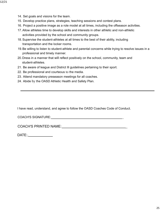- 14. Set goals and visions for the team.
- 15. Develop practice plans, strategies, teaching sessions and contest plans.
- 16. Project a positive image as a role model at all times, including the offseason activities.
- 17. Allow athletes time to develop skills and interests in other athletic and non-athletic activities provided by the school and community groups.
- 18. Supervise the student-athletes at all times to the best of their ability, including transportation and the locker rooms.
- 19.Be willing to listen to student-athlete and parental concerns while trying to resolve issues in a professional and timely manner.
- 20.Dress in a manner that will reflect positively on the school, community, team and student-athletes.
- 21. Be aware of league and District Ill guidelines pertaining to their sport.
- 22. Be professional and courteous to the media.
- 23. Attend mandatory preseason meetings for all coaches.
- 24. Abide by the OASD Athletic Health and Safety Plan.

I have read, understand, and agree to follow the OASD Coaches Code of Conduct.

COACH'S SIGNATURE: \_

COACH'S PRINTED NAME: \_

DATE:,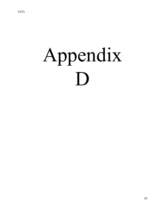# Appendix D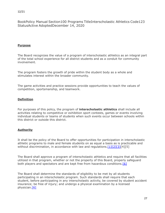12/21

BookPolicy Manual Section100 Programs TitleInterscholastic Athletics Code123 StatusActive AdoptedDecember 14, 2020

#### **Purpose**

The Board recognizes the value of a program of interscholastic athletics as an integral part of the total school experience for all district students and as a conduit for community involvement.

The program fosters the growth of pride within the student body as a whole and stimulates interest within the broader community.

The game activities and practice sessions provide opportunities to teach the values of competition, sportsmanship, and teamwork.

#### **Definition**

For purposes of this policy, the program of **interscholastic athletics** shall include all activities relating to competitive or exhibition sport contests, games or events involving individual students or teams of students when such events occur between schools within this district or outside this district.

#### **Authority**

It shall be the policy of the Board to offer opportunities for participation in interscholastic athletic programs to male and female students on as equal a basis as is practicable and without discrimination, in accordance with law and regulations.  $[1][2][3][4][5]$  $[1][2][3][4][5]$  $[1][2][3][4][5]$  $[1][2][3][4][5]$ 

The Board shall approve a program of interscholastic athletics and require that all facilities utilized in that program, whether or not the property of this Board, properly safeguard both players and spectators and are kept free from hazardous conditions. [\[6\]](http://www.legis.state.pa.us/cfdocs/legis/LI/uconsCheck.cfm?txtType=HTM&yr=1949&sessInd=0&smthLwInd=0&act=14&chpt=5&sctn=11&subsctn=0)

The Board shall determine the standards of eligibility to be met by all students participating in an interscholastic program. Such standards shall require that each student, before participating in any interscholastic activity, be covered by student accident insurance; be free of injury; and undergo a physical examination by a licensed physician[.\[6\]](http://www.legis.state.pa.us/cfdocs/legis/LI/uconsCheck.cfm?txtType=HTM&yr=1949&sessInd=0&smthLwInd=0&act=14&chpt=5&sctn=11&subsctn=0)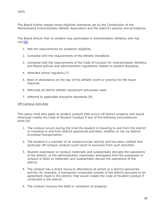The Board further adopts those eligibility standards set by the Constitution of the Pennsylvania Interscholastic Athletic Association and the district's policies and procedures.

The Board directs that no student may participate in interscholastic athletics who has not[:\[6\]](http://www.legis.state.pa.us/cfdocs/legis/LI/uconsCheck.cfm?txtType=HTM&yr=1949&sessInd=0&smthLwInd=0&act=14&chpt=5&sctn=11&subsctn=0)

- 1. Met the requirements for academic eligibility.
- 2. Complied with the requirements of the Athletic Handbook.
- 3. Complied with the requirements of the Code of Conduct for Interscholastic Athletics and Board policies and administrative regulations related to student discipline.
- 4. Attended school regularly.[7]
- 5. Been in attendance on the day of the athletic event or practice for the hours required.
- 6. Returned all district athletic equipment previously used.
- 7. Adhered to applicable discipline standards.[8]

#### Off-Campus Activities

This policy shall also apply to student conduct that occurs off district property and would otherwise violate the Code of Student Conduct if any of the following circumstances exist:[8]

- 1. The conduct occurs during the time the student is traveling to and from the district or traveling to and from district-sponsored activities, whether or not via district furnished transportation.
- 2. The student is a member of an extracurricular activity and has been notified that particular off-campus conduct could result in exclusion from such activities.
- 3. Student expression or conduct materially and substantially disrupts the operations of the district, or the administration reasonably anticipates that the expression or conduct is likely to materially and substantially disrupt the operations of the district.
- 4. The conduct has a direct nexus to attendance at school or a district-sponsored activity, for example, a transaction conducted outside of the district pursuant to an agreement made in the district, that would violate the Code of Student Conduct if conducted in the district.
- 5. The conduct involves the theft or vandalism of property.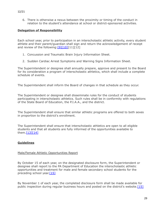6. There is otherwise a nexus between the proximity or timing of the conduct in relation to the student's attendance at school or district-sponsored activities.

#### **Delegation of Responsibility**

Each school year, prior to participation in an interscholastic athletic activity, every student athlete and their parent/guardian shall sign and return the acknowledgement of receipt and review of the following: [9][\[10\]](https://www.legis.state.pa.us/cfdocs/legis/LI/uconsCheck.cfm?txtType=HTM&yr=1949&sessInd=0&smthLwInd=0&act=14&chpt=14&sctn=25&subsctn=0)[11][12]

- 1. Concussion and Traumatic Brain Injury Information Sheet.
- 2. Sudden Cardiac Arrest Symptoms and Warning Signs Information Sheet.

The Superintendent or designee shall annually prepare, approve and present to the Board for its consideration a program of interscholastic athletics, which shall include a complete schedule of events.

The Superintendent shall inform the Board of changes in that schedule as they occur.

The Superintendent or designee shall disseminate rules for the conduct of students participating in interscholastic athletics. Such rules shall be in conformity with regulations of the State Board of Education, the P.I.A.A., and the district.

The Superintendent shall ensure that similar athletic programs are offered to both sexes in proportion to the district's enrollment.

The Superintendent shall ensure that interscholastic athletics are open to all eligible students and that all students are fully informed of the opportunities available to them. $[13]$ [\[14\]](http://pacodeandbulletin.gov/Display/pacode?file=/secure/pacode/data/022/chapter12/s12.4.html&d=reduce)

#### **Guidelines**

#### Male/Female Athletic Opportunities Report

By October 15 of each year, on the designated disclosure form, the Superintendent or designee shall report to the PA Department of Education the interscholastic athletic opportunities and treatment for male and female secondary school students for the preceding school year.<sup>[15]</sup>

By November 1 of each year, the completed disclosure form shall be made available for public inspection during regular business hours and posted on the district's website.[\[15\]](http://www.legis.state.pa.us/cfdocs/legis/LI/uconsCheck.cfm?txtType=HTM&yr=1949&sessInd=0&smthLwInd=0&act=14&chpt=16C&sctn=3&subsctn=0)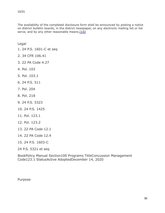The availability of the completed disclosure form shall be announced by posting a notice on district bulletin boards, in the district newspaper, on any electronic mailing list or list serve, and by any other reasonable means. $[15]$ 

Legal

- [1. 24 P.S. 1601-C et seq](http://www.legis.state.pa.us/cfdocs/legis/LI/uconsCheck.cfm?txtType=HTM&yr=1949&sessInd=0&smthLwInd=0&act=014&chpt=16C)
- [2. 34 CFR 106.41](http://www.law.cornell.edu/cfr/text/34/106.41)
- [3. 22 PA Code 4.27](http://pacodeandbulletin.gov/Display/pacode?file=/secure/pacode/data/022/chapter4/s4.27.html&d=reduce)
- 4. Pol. 103
- 5. Pol. 103.1
- [6. 24 P.S. 511](http://www.legis.state.pa.us/cfdocs/legis/LI/uconsCheck.cfm?txtType=HTM&yr=1949&sessInd=0&smthLwInd=0&act=14&chpt=5&sctn=11&subsctn=0)
- 7. Pol. 204
- 8. Pol. 218
- [9. 24 P.S. 5323](http://www.legis.state.pa.us/cfdocs/Legis/LI/uconsCheck.cfm?txtType=HTM&yr=2011&sessInd=0&smthLwInd=0&act=0101.)
- [10. 24 P.S. 1425](https://www.legis.state.pa.us/cfdocs/legis/LI/uconsCheck.cfm?txtType=HTM&yr=1949&sessInd=0&smthLwInd=0&act=14&chpt=14&sctn=25&subsctn=0)
- 11. Pol. 123.1
- 12. Pol. 123.2
- [13. 22 PA Code 12.1](http://pacodeandbulletin.gov/Display/pacode?file=/secure/pacode/data/022/chapter12/s12.1.html&d=reduce)
- [14. 22 PA Code 12.4](http://pacodeandbulletin.gov/Display/pacode?file=/secure/pacode/data/022/chapter12/s12.4.html&d=reduce)
- [15. 24 P.S. 1603-C](http://www.legis.state.pa.us/cfdocs/legis/LI/uconsCheck.cfm?txtType=HTM&yr=1949&sessInd=0&smthLwInd=0&act=14&chpt=16C&sctn=3&subsctn=0)
- [24 P.S. 5321 et seq](http://www.legis.state.pa.us/cfdocs/Legis/LI/uconsCheck.cfm?txtType=HTM&yr=2011&sessInd=0&smthLwInd=0&act=0101.)

BookPolicy Manual Section100 Programs TitleConcussion Management Code123.1 StatusActive AdoptedDecember 14, 2020

Purpose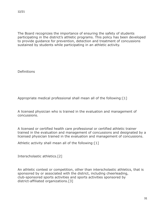The Board recognizes the importance of ensuring the safety of students participating in the district's athletic programs. This policy has been developed to provide guidance for prevention, detection and treatment of concussions sustained by students while participating in an athletic activity.

**Definitions** 

Appropriate medical professional shall mean all of the following:[1]

A licensed physician who is trained in the evaluation and management of concussions.

A licensed or certified health care professional or certified athletic trainer trained in the evaluation and management of concussions and designated by a licensed physician trained in the evaluation and management of concussions.

Athletic activity shall mean all of the following:[1]

Interscholastic athletics.[2]

An athletic contest or competition, other than interscholastic athletics, that is sponsored by or associated with the district, including cheerleading, club-sponsored sports activities and sports activities sponsored by district-affiliated organizations.[3]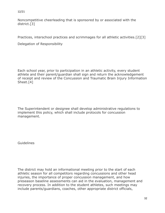Noncompetitive cheerleading that is sponsored by or associated with the district.[3]

Practices, interschool practices and scrimmages for all athletic activities.[2][3]

Delegation of Responsibility

Each school year, prior to participation in an athletic activity, every student athlete and their parent/guardian shall sign and return the acknowledgement of receipt and review of the Concussion and Traumatic Brain Injury Information Sheet.[4]

The Superintendent or designee shall develop administrative regulations to implement this policy, which shall include protocols for concussion management.

**Guidelines** 

The district may hold an informational meeting prior to the start of each athletic season for all competitors regarding concussions and other head injuries, the importance of proper concussion management, and how preseason baseline assessments can aid in the evaluation, management and recovery process. In addition to the student athletes, such meetings may include parents/guardians, coaches, other appropriate district officials,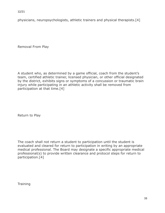physicians, neuropsychologists, athletic trainers and physical therapists.[4]

Removal From Play

A student who, as determined by a game official, coach from the student's team, certified athletic trainer, licensed physician, or other official designated by the district, exhibits signs or symptoms of a concussion or traumatic brain injury while participating in an athletic activity shall be removed from participation at that time.[4]

Return to Play

The coach shall not return a student to participation until the student is evaluated and cleared for return to participation in writing by an appropriate medical professional. The Board may designate a specific appropriate medical professional(s) to provide written clearance and protocol steps for return to participation.[4]

**Training**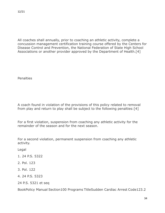All coaches shall annually, prior to coaching an athletic activity, complete a concussion management certification training course offered by the Centers for Disease Control and Prevention, the National Federation of State High School Associations or another provider approved by the Department of Health.[4]

**Penalties** 

A coach found in violation of the provisions of this policy related to removal from play and return to play shall be subject to the following penalties:[4]

For a first violation, suspension from coaching any athletic activity for the remainder of the season and for the next season.

For a second violation, permanent suspension from coaching any athletic activity.

Legal

- 1. 24 P.S. 5322
- 2. Pol. 123
- 3. Pol. 122
- 4. 24 P.S. 5323
- 24 P.S. 5321 et seq

BookPolicy Manual Section100 Programs TitleSudden Cardiac Arrest Code123.2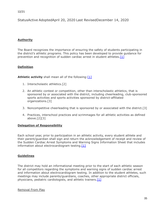12/21

StatusActive AdoptedApril 20, 2020 Last RevisedDecember 14, 2020

#### **Authority**

The Board recognizes the importance of ensuring the safety of students participating in the district's athletic programs. This policy has been developed to provide guidance for prevention and recognition of sudden cardiac arrest in student athletes.[\[1\]](https://www.legis.state.pa.us/cfdocs/legis/LI/uconsCheck.cfm?txtType=HTM&yr=1949&sessInd=0&smthLwInd=0&act=14&chpt=14&sctn=25&subsctn=0)

#### **Definition**

**Athletic activity** shall mean all of the following: [\[1\]](https://www.legis.state.pa.us/cfdocs/legis/LI/uconsCheck.cfm?txtType=HTM&yr=1949&sessInd=0&smthLwInd=0&act=14&chpt=14&sctn=25&subsctn=0)

- 1. Interscholastic athletics.[2]
- 2. An athletic contest or competition, other than interscholastic athletics, that is sponsored by or associated with the district, including cheerleading, club-sponsored sports activities and sports activities sponsored by district-affiliated organizations.[3]
- 3. Noncompetitive cheerleading that is sponsored by or associated with the district.[3]
- 4. Practices, interschool practices and scrimmages for all athletic activities as defined above.[2][3]

#### **Delegation of Responsibility**

Each school year, prior to participation in an athletic activity, every student athlete and their parent/guardian shall sign and return the acknowledgement of receipt and review of the Sudden Cardiac Arrest Symptoms and Warning Signs Information Sheet that includes information about electrocardiogram testing. $[1]$ 

#### **Guidelines**

The district may hold an informational meeting prior to the start of each athletic season for all competitors regarding the symptoms and warning signs of sudden cardiac arrest and information about electrocardiogram testing. In addition to the student athletes, such meetings may include parents/guardians, coaches, other appropriate district officials, physicians, pediatric cardiologists, and athletic trainers.  $[1]$ 

Removal From Play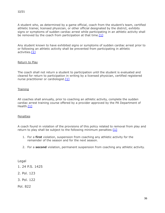A student who, as determined by a game official, coach from the student's team, certified athletic trainer, licensed physician, or other official designated by the district, exhibits signs or symptoms of sudden cardiac arrest while participating in an athletic activity shall be removed by the coach from participation at that time. $[1]$ 

Any student known to have exhibited signs or symptoms of sudden cardiac arrest prior to or following an athletic activity shall be prevented from participating in athletic activities.[\[1\]](https://www.legis.state.pa.us/cfdocs/legis/LI/uconsCheck.cfm?txtType=HTM&yr=1949&sessInd=0&smthLwInd=0&act=14&chpt=14&sctn=25&subsctn=0)

#### Return to Play

The coach shall not return a student to participation until the student is evaluated and cleared for return to participation in writing by a licensed physician, certified registered nurse practitioner or cardiologist.<sup>[\[1\]](https://www.legis.state.pa.us/cfdocs/legis/LI/uconsCheck.cfm?txtType=HTM&yr=1949&sessInd=0&smthLwInd=0&act=14&chpt=14&sctn=25&subsctn=0)</sup>

#### **Training**

All coaches shall annually, prior to coaching an athletic activity, complete the sudden cardiac arrest training course offered by a provider approved by the PA Department of Health[.\[1\]](https://www.legis.state.pa.us/cfdocs/legis/LI/uconsCheck.cfm?txtType=HTM&yr=1949&sessInd=0&smthLwInd=0&act=14&chpt=14&sctn=25&subsctn=0)

#### **Penalties**

A coach found in violation of the provisions of this policy related to removal from play and return to play shall be subject to the following minimum penalties: $[1]$ 

- 1. For a **first** violation, suspension from coaching any athletic activity for the remainder of the season and for the next season.
- 2. For a **second** violation, permanent suspension from coaching any athletic activity.

Legal

- [1. 24 P.S. 1425](https://www.legis.state.pa.us/cfdocs/legis/LI/uconsCheck.cfm?txtType=HTM&yr=1949&sessInd=0&smthLwInd=0&act=14&chpt=14&sctn=25&subsctn=0)
- 2. Pol. 123
- 3. Pol. 122

Pol. 822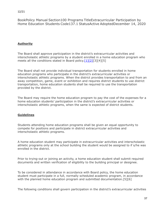12/21

BookPolicy Manual Section100 Programs TitleExtracurricular Participation by Home Education Students Code137.1 StatusActive AdoptedDecember 14, 2020

#### **Authority**

The Board shall approve participation in the district's extracurricular activities and interscholastic athletic programs by a student enrolled in a home education program who meets all the conditions stated in Board policy.[\[1\]](http://www.legis.state.pa.us/cfdocs/legis/LI/uconsCheck.cfm?txtType=HTM&yr=1949&sessInd=0&smthLwInd=0&act=14&chpt=5&sctn=11&subsctn=0)[\[2\]](http://www.legis.state.pa.us/cfdocs/legis/LI/uconsCheck.cfm?txtType=HTM&yr=1949&sessInd=0&smthLwInd=0&act=14&chpt=13&sctn=27&subsctn=1)[3][4][5]

The Board shall not provide individual transportation for students enrolled in home education programs who participate in the district's extracurricular activities or interscholastic athletic programs. When the district provides transportation to and from an away competition, game, event or exhibition and requires district students to use district transportation, home education students shall be required to use the transportation provided by the district.

The Board may require the home education program to pay the cost of the expenses for a home education students' participation in the district's extracurricular activities or interscholastic athletic programs, when the same is expected of district students.

#### **Guidelines**

Students attending home education programs shall be given an equal opportunity to compete for positions and participate in district extracurricular activities and interscholastic athletic programs.

A home education student may participate in extracurricular activities and interscholastic athletic programs only at the school building the student would be assigned to if s/he was enrolled in the district.

Prior to trying-out or joining an activity, a home education student shall submit required documents and written verification of eligibility to the building principal or designee.

To be considered in attendance in accordance with Board policy, the home education student must participate in a full, normally scheduled academic program, in accordance with the planned home education program and submitted documentation.[5][6]

The following conditions shall govern participation in the district's extracurricular activities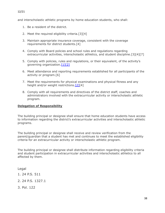and interscholastic athletic programs by home education students, who shall:

- 1. Be a resident of the district.
- 2. Meet the required eligibility criteria.[3][4]
- 3. Maintain appropriate insurance coverage, consistent with the coverage requirements for district students.[4]
- 4. Comply with Board policies and school rules and regulations regarding extracurricular activities, interscholastic athletics, and student discipline.[3][4][7]
- 5. Comply with policies, rules and regulations, or their equivalent, of the activity's governing organization.<sup>[\[1\]](http://www.legis.state.pa.us/cfdocs/legis/LI/uconsCheck.cfm?txtType=HTM&yr=1949&sessInd=0&smthLwInd=0&act=14&chpt=5&sctn=11&subsctn=0)[\[2\]](http://www.legis.state.pa.us/cfdocs/legis/LI/uconsCheck.cfm?txtType=HTM&yr=1949&sessInd=0&smthLwInd=0&act=14&chpt=13&sctn=27&subsctn=1)</sup>
- 6. Meet attendance and reporting requirements established for all participants of the activity or program.[6]
- 7. Meet the requirements for physical examinations and physical fitness and any height and/or weight restrictions.<sup>[2][4]</sup>
- 8. Comply with all requirements and directives of the district staff, coaches and administrators involved with the extracurricular activity or interscholastic athletic program.

#### **Delegation of Responsibility**

The building principal or designee shall ensure that home education students have access to information regarding the district's extracurricular activities and interscholastic athletic programs.

The building principal or designee shall receive and review verification from the parent/guardian that a student has met and continues to meet the established eligibility criteria for an extracurricular activity or interscholastic athletic program.

The building principal or designee shall distribute information regarding eligibility criteria and student participation in extracurricular activities and interscholastic athletics to all affected by them.

Legal

- [1. 24 P.S. 511](http://www.legis.state.pa.us/cfdocs/legis/LI/uconsCheck.cfm?txtType=HTM&yr=1949&sessInd=0&smthLwInd=0&act=14&chpt=5&sctn=11&subsctn=0)
- [2. 24 P.S. 1327.1](http://www.legis.state.pa.us/cfdocs/legis/LI/uconsCheck.cfm?txtType=HTM&yr=1949&sessInd=0&smthLwInd=0&act=14&chpt=13&sctn=27&subsctn=1)
- 3. Pol. 122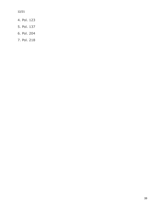12/21

- 4. Pol. 123
- 5. Pol. 137
- 6. Pol. 204
- 7. Pol. 218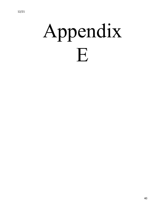# Appendix E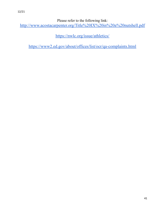Please refer to the following link:

<http://www.acostacarpenter.org/Title%20IX%20in%20a%20nutshell.pdf>

<https://nwlc.org/issue/athletics/>

<https://www2.ed.gov/about/offices/list/ocr/qa-complaints.html>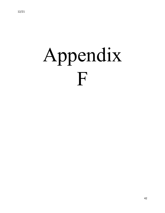# Appendix F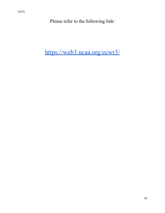Please refer to the following link:

<https://web3.ncaa.org/ecwr3/>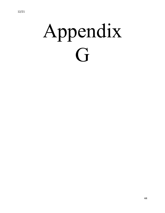# Appendix G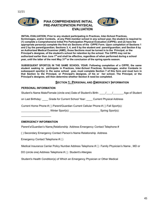

#### **PIAA COMPREHENSIVE INITIAL PRE-PARTICIPATION PHYSICAL EVALUATION**



**INITIAL EVALUATION: Prior to any student participating in Practices, Inter-School Practices, Scrimmages, and/or Contests, at any PIAA member school in any school year, the student is required to (1) complete a Comprehensive Initial Pre Participation Physical Evaluation (CIPPE); and (2) have the appropriate person(s) complete the first six Sections of the CIPPE Form. Upon completion of Sections 1 and 2 by the parent/guardian; Sections 3, 4, and 5 by the student and parent/guardian; and Section 6 by an Authorized Medical Examiner (AME), those Sections must be turned in to the Principal, or the Principal's designee, of the student's school for retention by the school. The CIPPE may not be authorized earlier than June 1st and shall be effective, regardless of when performed during a school year, until the latter of the next May 31st or the conclusion of the spring sports season.**

**SUBSEQUENT SPORT(S) IN THE SAME SCHOOL YEAR: Following completion of a CIPPE, the same student seeking to participate in Practices, Inter-School Practices, Scrimmages, and/or Contests in subsequent sport(s) in the same school year, must complete Section 7 of this form and must turn in that Section to the Principal, or Principal's designee, of his or her school. The Principal, or the Principal's designee, will then determine whether Section 8 need be completed.**

#### **SECTION 1: PERSONAL AND EMERGENCY INFORMATION**

#### **PERSONAL INFORMATION**

Student's Name Male/Female (circle one) Date of Student's Birth:  $\frac{1}{1-\frac{1}{1-\frac{1}{1-\frac{1}{1-\frac{1}{1-\frac{1}{1-\frac{1}{1-\frac{1}{1-\frac{1}{1-\frac{1}{1-\frac{1}{1-\frac{1}{1-\frac{1}{1-\frac{1}{1-\frac{1}{1-\frac{1}{1-\frac{1}{1-\frac{1}{1-\frac{1}{1-\frac{1}{1-\frac{1}{1-\frac{1}{1-\frac{1}{1-\frac{1}{1-\frac{1}{1-\frac{1}{1$ 

on Last Birthday: \_\_\_\_ Grade for Current School Year: \_\_\_\_ Current Physical Address

Current Home Phone # ( ) Parent/Guardian Current Cellular Phone # ( ) Fall Sport(s):

\_\_\_\_\_\_\_\_\_\_\_\_\_\_\_\_\_\_\_ Winter Sport(s): \_\_\_\_\_\_\_\_\_\_\_\_\_\_\_\_\_\_\_\_ Spring Sport(s):

 $\_$ 

#### **EMERGENCY INFORMATION**

Parent's/Guardian's Name Relationship Address Emergency Contact Telephone #

( ) Secondary Emergency Contact Person's Name Relationship Address

Emergency Contact Telephone # ( )

Medical Insurance Carrier Policy Number Address Telephone # ( ) Family Physician's Name , MD or

DO (circle one) Address Telephone # ( ) Student's Allergies

Student's Health Condition(s) of Which an Emergency Physician or Other Medical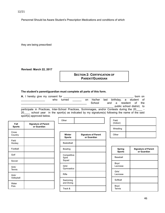Personnel Should be Aware Student's Prescription Medications and conditions of which

they are being prescribed

**Revised: March 22, 2017**

#### **SECTION 2: CERTIFICATION OF PARENT/GUARDIAN**

#### **The student's parent/guardian must complete all parts of this form.**

Other

| <b>A.</b> I hereby give my consent for<br>born on                                                |        |     |         |      |       |  |                            |  |
|--------------------------------------------------------------------------------------------------|--------|-----|---------|------|-------|--|----------------------------|--|
| who                                                                                              | turned | on. | his/her | last |       |  | birthday, a student of     |  |
|                                                                                                  |        |     | School  |      | and a |  | resident of the            |  |
|                                                                                                  |        |     |         |      |       |  | public school district, to |  |
| participate in Practices, Inter-School Practices, Scrimmages, and/or Contests during the 20      |        |     |         |      |       |  |                            |  |
| school year in the sport(s) as indicated by my signature(s) following the name of the said<br>20 |        |     |         |      |       |  |                            |  |

sport(s) approved below.

| Fall<br><b>Sports</b>   | <b>Signature of Parent</b><br>or Guardian |
|-------------------------|-------------------------------------------|
| Cross<br>Country        |                                           |
| Field<br>Hockey         |                                           |
| Football                |                                           |
| Golf                    |                                           |
| Soccer                  |                                           |
| Girls'<br><b>Tennis</b> |                                           |
| Girls'<br>Volleyball    |                                           |
| Water<br>Polo           |                                           |

| Winter<br><b>Sports</b>        | <b>Signature of Parent</b><br>or Guardian |
|--------------------------------|-------------------------------------------|
| Basketball                     |                                           |
| Bowling                        |                                           |
| Competitive<br>Spirit<br>Squad |                                           |
| Girls'<br>Gymnastics           |                                           |
| Rifle                          |                                           |
| Swimming<br>and Diving         |                                           |
| Track &                        |                                           |

| Field<br>(Indoor) |  |
|-------------------|--|
| Wrestling         |  |
| Other             |  |

| <b>Spring</b><br><b>Sports</b> | <b>Signature of Parent</b><br>or Guardian |
|--------------------------------|-------------------------------------------|
| Baseball                       |                                           |
| Boys'<br>Lacrosse              |                                           |
| Girls'<br>Lacrosse             |                                           |
| Softball                       |                                           |
| Boys'<br><b>Tennis</b>         |                                           |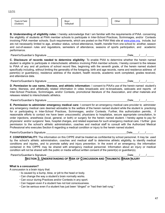Track & Field

| (Outdoor) |                                                                                                                                | Volleyball |  |  |  |
|-----------|--------------------------------------------------------------------------------------------------------------------------------|------------|--|--|--|
|           |                                                                                                                                |            |  |  |  |
|           |                                                                                                                                |            |  |  |  |
|           |                                                                                                                                |            |  |  |  |
|           | <b>B. Understanding of eligibility rules:</b> I hereby acknowledge that I am familiar with the requirements of PIAA concerning |            |  |  |  |
|           | the eligibility of students at PIAA member schools to participate in Inter-School Practices, Scrimmages, and/or Contests       |            |  |  |  |
|           | involving PIAA member schools. Such requirements, which are posted on the PIAA Web site at www.nias.org, include, but          |            |  |  |  |

Boys'

involving PIAA member schools. Such requirements, which are posted on the PIAA Web site at <u>www.piaa.org,</u> include, but are not necessarily limited to age, amateur status, school attendance, health, transfer from one school to another, season and out-of-season rules and regulations, semesters of attendance, seasons of sports participation, and academic performance.

Parent's/Guardian's Signature extending the state of the state of the state of the state of the state of the state of the state of the state of the state of the state of the state of the state of the state of the state of

**C. Disclosure of records needed to determine eligibility:** To enable PIAA to determine whether the herein named student is eligible to participate in interscholastic athletics involving PIAA member schools, I hereby consent to the release to PIAA of any and all portions of school record files, beginning with the seventh grade, of the herein named student specifically including, without limiting the generality of the foregoing, birth and age records, name and residence address of parent(s) or guardian(s), residence address of the student, health records, academic work completed, grades received, and attendance data.

Parent's/Guardian's Signature expression of the state of the state of the Date of the Date of the Second Library

**D. Permission to use name, likeness, and athletic information:** I consent to PIAA's use of the herein named student's name, likeness, and athletically related information in video broadcasts and re-broadcasts, webcasts and reports of Inter-School Practices, Scrimmages, and/or Contests, promotional literature of the Association, and other materials and releases related to interscholastic athletics.

Parent's/Guardian's Signature et al. Alternative and the state of the state of the state of the state of the state of the state of the state of the state of the state of the state of the state of the state of the state of

**E. Permission to administer emergency medical care:** I consent for an emergency medical care provider to administer any emergency medical care deemed advisable to the welfare of the herein named student while the student is practicing for or participating in Inter-School Practices, Scrimmages, and/or Contests. Further, this authorization permits, if reasonable efforts to contact me have been unsuccessful, physicians to hospitalize, secure appropriate consultation, to order injections, anesthesia (local, general, or both) or surgery for the herein named student. I hereby agree to pay for physicians' and/or surgeons' fees, hospital charges, and related expenses for such emergency medical care. I further give permission to the school's athletic administration, coaches and medical staff to consult with the Authorized Medical Professional who executes Section 6 regarding a medical condition or injury to the herein named student.

Parent's/Guardian's Signature extending the state of the state of the state of the state of the state of the state of the state of the state of the state of the state of the state of the state of the state of the state of

**F. CONFIDENTIALITY:** The information on this CIPPE shall be treated as confidential by school personnel. It may be used by the school's athletic administration, coaches and medical staff to determine athletic eligibility, to identify medical conditions and injuries, and to promote safety and injury prevention. In the event of an emergency, the information contained in this CIPPE may be shared with emergency medical personnel. Information about an injury or medical condition will not be shared with the public or media without written consent of the parent(s) or guardian(s).

Parent's/Guardian's Signature **Exercise 2** and the set of the set of the set of the set of the set of the set of the set of the set of the set of the set of the set of the set of the set of the set of the set of the set of

#### **SECTION 3: UNDERSTANDING OF RISK OF CONCUSSION AND TRAUMATIC BRAIN INJURY**

#### **What is a concussion?**

A concussion is a brain injury that:

- ∙ Is caused by a bump, blow, or jolt to the head or body.
- ∙ Can change the way a student's brain normally works.
- ∙ Can occur during Practices and/or Contests in any sport.
- ∙ Can happen even if a student has not lost consciousness.
- ∙ Can be serious even if a student has just been "dinged" or "had their bell rung."

Other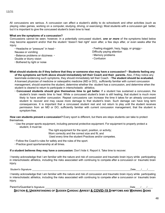but it is important to give the concussed student's brain time to heal.

All concussions are serious. A concussion can affect a student's ability to do schoolwork and other activities (such as playing video games, working on a computer, studying, driving, or exercising). Most students with a concussion get better,

Concussions cannot be seen; however, in a potentially concussed student, *one or more* of the symptoms listed below may become apparent and/or that the student "doesn't feel right" soon after, a few days after, or even weeks after the

- Nausea or vomiting
- ∙ Balance problems or dizziness ∙

**What are the symptoms of a concussion?**

- Double or blurry vision
- ∙ Bothered by light or noise
- ∙ Feeling sluggish, hazy, foggy, or groggy ∙
- Difficulty paying attention
- ∙ Memory problems
- ∙ Confusion
- What should students do if they believe that they or someone else may have a concussion?  $\cdot$  Students feeling any **of the symptoms set forth above should immediately tell their Coach and their parents.** Also, if they notice any teammate evidencing such symptoms, they should immediately tell their Coach. ∙ **The student should be evaluated.** A licensed physician of medicine or osteopathic medicine (MD or DO), sufficiently familiar with current concussion management, should examine the student, determine whether the student has a concussion, and determine when the student is cleared to return to participate in interscholastic athletics.
	- ∙ **Concussed students should give themselves time to get better.** If a student has sustained a concussion, the student's brain needs time to heal. While a concussed student's brain is still healing, that student is much more likely to have another concussion. Repeat concussions can increase the time it takes for an already concussed student to recover and may cause more damage to that student's brain. Such damage can have long term consequences. It is important that a concussed student rest and not return to play until the student receives permission from an MD or DO, sufficiently familiar with current concussion management, that the student is symptom-free.

**How can students prevent a concussion?** Every sport is different, but there are steps students can take to protect themselves.

∙ Use the proper sports equipment, including personal protective equipment. For equipment to properly protect a student, it must be:

The right equipment for the sport, position, or activity;

Worn correctly and the correct size and fit; and

Used every time the student Practices and/or competes.

- ∙ Follow the Coach's rules for safety and the rules of the sport.
- ∙ Practice good sportsmanship at all times.

**If a student believes they may have a concussion:** Don't hide it. Report it. Take time to recover.

I hereby acknowledge that I am familiar with the nature and risk of concussion and traumatic brain injury while participating in interscholastic athletics, including the risks associated with continuing to compete after a concussion or traumatic brain injury.

Student's Signature and the student of the student of the student of the student's Signature and the student of the student of the student of the student of the student of the student of the student of the student of the s

I hereby acknowledge that I am familiar with the nature and risk of concussion and traumatic brain injury while participating in interscholastic athletics, including the risks associated with continuing to compete after a concussion or traumatic brain injury.

Parent's/Guardian's Signature et al. Alternative and the state of the state of the state of the state of the state of the state of the state of the state of the state of the state of the state of the state of the state of

**SECTION 4: UNDERSTANDING OF SUDDEN CARDIAC ARREST & COVID-19 SYMPTOMS AND WARNING SIGNS**

injury.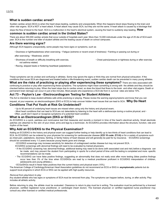#### **What is sudden cardiac arrest?**

Sudden cardiac arrest (SCA) is when the heart stops beating, suddenly and unexpectedly. When this happens blood stops flowing to the brain and other vital organs. SCA is NOT a heart attack. A heart attack may cause SCA, but they are not the same. A heart attack is caused by a blockage that stops the flow of blood to the heart. SCA is a malfunction in the heart's electrical system, causing the heart to suddenly stop beating. **How**

#### **common is sudden cardiac arrest in the United States?**

There are about 350,000 cardiac arrests that occur outside of hospitals each year. More than 10,000 individuals under the age of 25 die of SCA each year. SCA is the number one killer of student athlete and the leading cause of death on school campuses.

#### **Are there warning signs?**

Although SCA happens unexpectedly, some people may have signs or symptoms, such as

- ∙ Dizziness or lightheadedness when exercising; ∙ Fatigue (extreme or recent onset of tiredness) ∙ Fainting or passing out during or
- after exercising; ∙ Weakness; and/or
- ∙ Shortness of breath or difficulty breathing with exercise, not asthma related; ∙ Chest pains/pressure or tightness during or after exercise.
- ∙ Racing, skipped beats or fluttering heartbeat (palpitations)

These symptoms can be unclear and confusing in athletes. Some may ignore the signs or think they are normal from physical exhaustion. If the conditions that cause SCA are diagnosed and treated before a life-threatening event, sudden cardiac death can be prevented in many young athletes. **What are the risks of practicing or playing after experiencing these symptoms?** There are risks associated with continuing to practice or play after experiencing these symptoms. The symptoms might mean something is wrong with the athlete and they should be checked before returning to play. When the heart stops due to cardiac arrest, so does the blood that flows to the brain and other vital organs. Death or permanent brain damage can occur in just a few minutes. Most people who experience a SCA die from it; survival rates are below 10%.

#### **Act 73 – Peyton's Law - Electrocardiogram Testing for Student Athletes**

The Act is intended to keep student-athletes safe while practicing or playing. Please review the warning signs/symptoms and know that you can

request, at your expense, an electrocardiogram (EKG or ECG) to help uncover hidden heart issues that can lead to SCA. **Why Do Heart**

#### **Conditions That Put Youth at Risk Go Undetected?**

- ∙ Up to 90 percent of underlying heart issues are missed when using only the history and physical exam;
- ∙ Most heart conditions that can lead to SCA are not detectable by listening to the heart with a stethoscope during a routine physical; and ∙
- Often, youth don't report or recognize symptoms of a potential heart condition.

#### **What is an Electrocardiogram (EKG or ECG)?**

An ECG/EKG is a quick, painless and noninvasive test that measures and records a moment in time of the heart's electrical activity. Small electrode patches are attached to the skin of your chest, arms and legs by a technician. An ECG/EKG provides information about the structure, function, rate and rhythm of the heart.

#### **Why Add an ECG/EKG to the Physical Examination?**

Adding an ECG/EKG to the history and physical exam can suggest further testing or help identify up to two-thirds of heart conditions that can lead to SCA. An ECG/EKG can be ordered by your physician for screening for cardiovascular disease **(ICD 10 code: Z13.6)** or for a variety of symptoms such as chest pain, palpitations, dizziness, fainting, or family history of heart disease and will generally be paid for by insurance. ∙ ECG/EKG screenings should be considered every 1-2 years because young hearts grow and change.

∙ ECG/EKG screenings may increase sensitivity for detection of undiagnosed cardiac disease but may not prevent SCA. ∙

- ECG/EKG screenings with abnormal findings will need to be evaluated by trained physicians.
- ∙ If the ECG/EKG screening has abnormal findings, additional testing may need to be done (with associated cost and risk) before a diagnosis can be made, and may prevent the student from participating in sports for a short period of time until the testing is completed and more specific recommendations can be made.
- ∙ The ECG/EKG can have false positive findings, suggesting an abnormality that does not really exist after more testing (false positive findings occur less than 3% of the time when ECG/EKGs are read by a medical practitioner proficient in ECG/EKG interpretation of children, adolescents and young athletes.).
- ∙ ECGs/EKGs result in fewer false positives than the current history and physical exam (10%).

The American College of Cardiology/American Heart Association guidelines do not recommend an ECG or EKG in **asymptomatic** patients but do support local programs in which ECG or EKG can be applied with high-quality resources.

#### *Removal from play/return to play*

Any student-athlete who has signs or symptoms of SCA must be removed from play. The symptoms can happen before, during, or after activity. Play includes all athletic activity.

Before returning to play, the athlete must be evaluated. Clearance to return to play must be in writing. The evaluation must be performed by a licensed physician, certified registered nurse practitioner, or cardiologist (heart doctor). The licensed physician or certified registered nurse practitioner may consult any other licensed or certified medical professionals.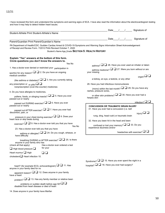|                                                                                                      |                                                                                                                                                                                                                                                     |                                                                                                |      |  |            | Date / / Signature of           |  |
|------------------------------------------------------------------------------------------------------|-----------------------------------------------------------------------------------------------------------------------------------------------------------------------------------------------------------------------------------------------------|------------------------------------------------------------------------------------------------|------|--|------------|---------------------------------|--|
| Student-Athlete Print Student-Athlete's Name                                                         |                                                                                                                                                                                                                                                     |                                                                                                |      |  |            |                                 |  |
|                                                                                                      |                                                                                                                                                                                                                                                     |                                                                                                | Date |  | $\sqrt{1}$ | Signature of                    |  |
| Parent/Guardian Print Parent/Guardian's Name                                                         |                                                                                                                                                                                                                                                     |                                                                                                |      |  |            |                                 |  |
|                                                                                                      | PA Department of Health/CDC: Sudden Cardiac Arrest & COVID-19 Symptoms and Warning Signs Information Sheet Acknowledgement<br>of Receipt and Review Form. 7/2012 PIAA Revised October 7, 2020<br>Student's Name Age_Grade SECTION 5: HEALTH HISTORY |                                                                                                |      |  |            |                                 |  |
| Explain "Yes" answers at the bottom of this form.<br>Circle questions you don't know the answers to. |                                                                                                                                                                                                                                                     |                                                                                                |      |  |            |                                 |  |
|                                                                                                      | Yes No                                                                                                                                                                                                                                              | $_{\text{asthma}}$ $\Box$ $\Box$ 26. Have you ever used an inhaler or taken                    |      |  |            |                                 |  |
| 1. Has a doctor ever denied or restricted your participation in                                      |                                                                                                                                                                                                                                                     | asthma medicine? $\square$ 27. Were you born without or are                                    |      |  |            |                                 |  |
| sport(s) for any reason? $\square \square$ 2. Do you have an ongoing<br>medical condition            |                                                                                                                                                                                                                                                     | your missing                                                                                   |      |  |            | organ? $\square$                |  |
|                                                                                                      | (like asthma or diabetes)? $\square$ 3. Are you currently taking                                                                                                                                                                                    | a kidney, an eye, a testicle, or any other                                                     |      |  |            |                                 |  |
| any prescription or $_{\text{or}\text{ pills}}$ $\Box$                                               |                                                                                                                                                                                                                                                     | 28. Have you had infectious mononucleosis                                                      |      |  |            |                                 |  |
| nonprescription (over-the-counter) medicines<br>4. Do you have allergies to medicines,               |                                                                                                                                                                                                                                                     | (mono) within the last month? $\square \square$ 29. Do you have any<br>rashes, pressure sores, |      |  |            |                                 |  |
| passed out or nearly                                                                                 | pollens, foods, or stinging insects? $\Box$ 5. Have you ever                                                                                                                                                                                        | or other skin problems? $\square \square$ 30. Have you ever had a<br>herpes skin               |      |  |            |                                 |  |
|                                                                                                      | passed out DURING exercise? $\square \square$ 6. Have you ever                                                                                                                                                                                      |                                                                                                |      |  |            | $\frac{1}{\text{inflection}}$   |  |
| passed out or nearly                                                                                 |                                                                                                                                                                                                                                                     | <b>CONCUSSION OR TRAUMATIC BRAIN INJURY</b>                                                    |      |  |            |                                 |  |
| discomfort, pain, or                                                                                 | passed out AFTER exercise? $\square \square$ 7. Have you ever had                                                                                                                                                                                   | 31. Have you ever had a concussion (i.e. bell                                                  |      |  |            | $_{\sf injury2} \square$        |  |
| heart race or skip beats during                                                                      | pressure in your chest during exercise? $\square \square$ 8. Does your                                                                                                                                                                              | rung, ding, head rush) or traumatic brain                                                      |      |  |            |                                 |  |
|                                                                                                      | exercise? $\Box$ 9. Has a doctor ever told you that you have                                                                                                                                                                                        | 32. Have you been hit in the head and been                                                     |      |  |            |                                 |  |
|                                                                                                      | Yes No                                                                                                                                                                                                                                              | confused or lost your memory? $\square \square$ 33. Do you<br>experience dizziness and/or      |      |  |            |                                 |  |
| 23. Has a doctor ever told you that you have                                                         |                                                                                                                                                                                                                                                     |                                                                                                |      |  |            | headaches with exercise? $\Box$ |  |
| have difficulty                                                                                      | asthma or allergies? $\square$ 24. Do you cough, wheeze, or                                                                                                                                                                                         |                                                                                                |      |  |            |                                 |  |
| anyone in your family who has<br>(check all that apply):                                             | breathing DURING or AFTER exercise? $\square$ 25. Is there<br>Has a doctor ever ordered a test                                                                                                                                                      |                                                                                                |      |  |            |                                 |  |
| $\Box$ High blood pressure $\Box$                                                                    | for your                                                                                                                                                                                                                                            |                                                                                                |      |  |            |                                 |  |
| Heart murmur $\Box$ High                                                                             | ロロ                                                                                                                                                                                                                                                  |                                                                                                |      |  |            |                                 |  |
| cholesterol $\Box$ Heart infection 10.                                                               |                                                                                                                                                                                                                                                     |                                                                                                |      |  |            |                                 |  |
|                                                                                                      |                                                                                                                                                                                                                                                     | Syndrome? $\Box$ 15. Have you ever spent the night in a                                        |      |  |            |                                 |  |
| anyone in your family died for no                                                                    | heart? (for example ECG, echocardiogram) $\Box$ 11. Has                                                                                                                                                                                             | hospital? $\square$ 16. Have you ever had surgery?                                             |      |  |            |                                 |  |
| have a heart                                                                                         | apparent reason? $\square \square$ 12. Does anyone in your family                                                                                                                                                                                   |                                                                                                |      |  |            |                                 |  |
|                                                                                                      | problem? $\Box$ 13. Has any family member or relative been                                                                                                                                                                                          |                                                                                                |      |  |            |                                 |  |
| problems or sudden death before age $50$ ? $\square$<br>disabled from heart disease or died of heart |                                                                                                                                                                                                                                                     |                                                                                                |      |  |            |                                 |  |
| 14. Does anyone in your family have Marfan                                                           |                                                                                                                                                                                                                                                     |                                                                                                |      |  |            |                                 |  |

I have reviewed this form and understand the symptoms and warning signs of SCA. I have also read the information about the electrocardiogram testing and how it may help to detect hidden heart issues.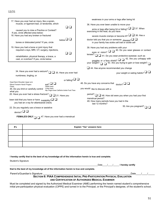|                                                             | 17. Have you ever had an injury, like a sprain,                                  |                                           | weakness in your arms or legs after being hit                                                                         |
|-------------------------------------------------------------|----------------------------------------------------------------------------------|-------------------------------------------|-----------------------------------------------------------------------------------------------------------------------|
|                                                             | muscle, or ligament tear, or tendonitis, which                                   |                                           | 36. Have you ever been unable to move your                                                                            |
|                                                             | caused you to miss a Practice or Contest?<br>If yes, circle affected area below: | $\Box$ $\Box$                             | arms or legs after being hit or falling? $\Box$ $\Box$ 37. When<br>exercising in the heat, do you have                |
|                                                             | 18. Have you had any broken or fractured                                         |                                           | severe muscle cramps or become ill? $\square \square$ 38. Has a                                                       |
|                                                             | bones or dislocated joints? If yes, circle                                       | $\Box$ $\square$                          | doctor told you that you or someone $_{\text{disease}}$ $\Box$<br>in your family has sickle cell trait or sickle cell |
|                                                             | 19. Have you had a bone or joint injury that                                     |                                           | 39. Have you had any problems with your                                                                               |
|                                                             | required x-rays, MRI, CT, surgery, injections,                                   | $\Box$                                    | 40. Do you wear glasses or contact<br>eyes or vision? $\Box$ $\Box$                                                   |
|                                                             | rehabilitation, physical therapy, a brace, a                                     |                                           | lenses? $\Box$ 41. Do you wear protective eyewear, such as                                                            |
|                                                             | cast, or crutches? If yes, circle below:                                         |                                           | goggles or a face shield? $\Box$ 42. Are you unhappy with                                                             |
|                                                             |                                                                                  |                                           | your weight? $\Box$ 43. Are you trying to gain or lose weight? $\Box$                                                 |
|                                                             |                                                                                  |                                           | $\Box$ 44. Has anyone recommended you change                                                                          |
|                                                             | 34. Have you ever had a seizure? $\Box$ 35. Have you ever had                    |                                           | your weight or eating habits? $\Box$                                                                                  |
|                                                             | numbness, tingling, or                                                           |                                           |                                                                                                                       |
|                                                             |                                                                                  | or falling? $\square$                     |                                                                                                                       |
| Head Neck Shoulder Upper arm<br>Elbow Forearm Hand/ Fingers | $_{\text{eat?}}$ $\Box$                                                          |                                           | 46. Do you have any concerns that $\theta$ doctor? $\Box$                                                             |
| Chest                                                       | Upper back<br>Lower back<br>45. Do you limit or carefully control                |                                           | you would like to discuss with a                                                                                      |
| what you                                                    |                                                                                  | Hip Thigh Knee Calf/shin Ankle Foot/ Toes |                                                                                                                       |
|                                                             | 20. Have you ever had a stress fracture?                                         | $\Box$ 21. Have you                       | period?<br>48. How old were you when you had your first                                                               |
|                                                             | been told that you have or have $_{\text{instability}}$                          |                                           | menstrual period?<br>49. How many periods have you had in the                                                         |
|                                                             | you had an x-ray for atlantoaxial (neck)                                         |                                           | last 12 months?                                                                                                       |
|                                                             | 22. Do you regularly use a brace or assistive                                    |                                           | 50. Are you pregnant?                                                                                                 |
| device? $\Box$                                              |                                                                                  |                                           |                                                                                                                       |
|                                                             | <b>FEMALES ONLY</b> $\Box$ 47. Have you ever had a menstrual                     |                                           |                                                                                                                       |
|                                                             |                                                                                  |                                           |                                                                                                                       |
|                                                             |                                                                                  |                                           |                                                                                                                       |
| #'s                                                         |                                                                                  |                                           | Explain "Yes" answers here:                                                                                           |

| #s | Explain "Yes" answers here: |
|----|-----------------------------|
|    |                             |
|    |                             |
|    |                             |
|    |                             |

I hereby certify that to the best of my knowledge all of the information herein is true and complete.

Student's Signature

\_\_\_\_\_\_\_\_\_\_\_\_\_\_\_\_\_\_\_\_\_\_\_\_\_\_\_\_\_\_\_\_\_\_\_\_\_\_\_\_\_\_\_\_\_\_\_\_\_\_\_\_\_\_\_\_\_\_\_\_\_\_\_\_\_\_\_\_\_\_\_\_\_Date\_\_\_\_/\_\_\_\_/\_\_\_\_\_ **I hereby certify**

**that to the best of my knowledge all of the information herein is true and complete.**

Parent's/Guardian's Signature \_\_\_\_\_\_\_\_\_\_\_\_\_\_\_\_\_\_\_\_\_\_\_\_\_\_\_\_\_\_\_\_\_\_\_\_\_\_\_\_\_\_\_\_\_\_\_\_\_\_\_\_\_\_\_\_\_\_\_\_\_\_\_\_\_Date\_\_\_\_/\_\_\_\_/\_\_\_\_\_

#### **SECTION 6: PIAA COMPREHENSIVE INITIAL PRE-PARTICIPATION PHYSICAL EVALUATION AND CERTIFICATION OF AUTHORIZED MEDICAL EXAMINER**

Must be completed and signed by the Authorized Medical Examiner (AME) performing the herein named student's comprehensive initial pre-participation physical evaluation (CIPPE) and turned in to the Principal, or the Principal's designee, of the student's school.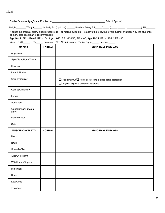12/21

|                                        |               | Height _______ Weight _______ % Body Fat (optional) _______ Brachial Artery BP _____/ _____ ( _____/ _____, _____/ RP_                                                                                                                           |
|----------------------------------------|---------------|--------------------------------------------------------------------------------------------------------------------------------------------------------------------------------------------------------------------------------------------------|
| primary care physician is recommended. |               | If either the brachial artery blood pressure (BP) or resting pulse (RP) is above the following levels, further evaluation by the student's<br>Age 10-12: BP: >126/82, RP: >104; Age 13-15: BP: >136/86, RP >100; Age 16-25: BP: >142/92, RP >96. |
|                                        |               | Vision: R 20/_____ L 20/_____ Corrected: YES NO (circle one) Pupils: Equal_____ Unequal_____                                                                                                                                                     |
| <b>MEDICAL</b>                         | <b>NORMAL</b> | <b>ABNORMAL FINDINGS</b>                                                                                                                                                                                                                         |
| Appearance                             |               |                                                                                                                                                                                                                                                  |
| Eyes/Ears/Nose/Throat                  |               |                                                                                                                                                                                                                                                  |
| Hearing                                |               |                                                                                                                                                                                                                                                  |
| Lymph Nodes                            |               |                                                                                                                                                                                                                                                  |
| Cardiovascular                         |               | $\Box$ Heart murmur $\Box$ Femoral pulses to exclude aortic coarctation<br>Physical stigmata of Marfan syndrome                                                                                                                                  |
| Cardiopulmonary                        |               |                                                                                                                                                                                                                                                  |
| Lungs                                  |               |                                                                                                                                                                                                                                                  |
| Abdomen                                |               |                                                                                                                                                                                                                                                  |
| Genitourinary (males<br>only)          |               |                                                                                                                                                                                                                                                  |
| Neurological                           |               |                                                                                                                                                                                                                                                  |
| Skin                                   |               |                                                                                                                                                                                                                                                  |
| <b>MUSCULOSKELETAL</b>                 | <b>NORMAL</b> | <b>ABNORMAL FINDINGS</b>                                                                                                                                                                                                                         |
| Neck                                   |               |                                                                                                                                                                                                                                                  |
| <b>Back</b>                            |               |                                                                                                                                                                                                                                                  |
| Shoulder/Arm                           |               |                                                                                                                                                                                                                                                  |
| Elbow/Forearm                          |               |                                                                                                                                                                                                                                                  |
| Wrist/Hand/Fingers                     |               |                                                                                                                                                                                                                                                  |
| Hip/Thigh                              |               |                                                                                                                                                                                                                                                  |
| Knee                                   |               |                                                                                                                                                                                                                                                  |
| Leg/Ankle                              |               |                                                                                                                                                                                                                                                  |
| Foot/Toes                              |               |                                                                                                                                                                                                                                                  |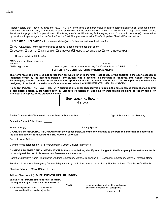I hereby certify that I have reviewed the HEALTH HISTORY, performed a comprehensive initial pre-participation physical evaluation of the herein named student, and, on the basis of such evaluation and the student's HEALTH HISTORY, certify that, except as specified below, the student is physically fit to participate in Practices, Inter-School Practices, Scrimmages, and/or Contests in the sport(s) consented to by the student's parent/guardian in Section 2 of the PIAA Comprehensive Initial Pre-Participation Physical Evaluation form:

❑ **CLEARED** ❑ **CLEARED** with recommendation(s) for further evaluation or treatment for:

| $\Box$ NOT CLEARED for the following types of sports (please check those that apply): |  |
|---------------------------------------------------------------------------------------|--|
|---------------------------------------------------------------------------------------|--|

❑ COLLISION ❑ CONTACT ❑ NON-CONTACT ❑ STRENUOUS ❑ MODERATELY STRENUOUS ❑ NON-STRENUOUS Due to

Recommendation(s)/Referral(s)

| AME's Name (print/type) License # |                                                                    |  |  |
|-----------------------------------|--------------------------------------------------------------------|--|--|
| Address                           | Phone ()                                                           |  |  |
| AME's Signature                   | MD, DO, PAC, CRNP, or SNP (circle one) Certification Date of CIPPE |  |  |
|                                   | <b>SECTION 7: RE-CERTIFICATION BY PARENT/GUARDIAN</b>              |  |  |

This form must be completed not earlier than six weeks prior to the first Practice day of the sport(s) in the sports season(s) identified herein by the parent/guardian of any student who is seeking to participate in Practices, Inter-School Practices, Scrimmages, and/or Contests in all subsequent sport seasons in the same school year. The Principal, or the Principal's **designee, of the herein named student's school must review the SUPPLEMENTAL HEALTH HISTORY.**

If any SUPPLEMENTAL HEALTH HISTORY questions are either checked yes or circled, the herein named student shall submit a completed Section 8, Re-Certification by Licensed Physician of Medicine or Osteopathic Medicine, to the Principal, or **Principal's designee, of the student's school.**

| <b>SUPPLEMENTAL HEALTH</b> |  |
|----------------------------|--|
| <b>HISTORY</b>             |  |

Student's Name Male/Female (circle one) Date of Student's Birth: \_\_\_\_\_\_/\_\_\_\_\_\_/\_\_\_\_\_\_\_\_\_ Age of Student on Last Birthday: \_\_\_\_\_\_

Grade for Current School Year:

Winter Sport(s): <br>  $\blacksquare$  Spring Sport(s):

**CHANGES TO PERSONAL INFORMATION (In the spaces below, identify any changes to the Personal Information set forth in the original Section 1: PERSONAL AND EMERGENCY INFORMATION):**

Current Home Address

Current Home Telephone # ( ) Parent/Guardian Current Cellular Phone # ( )

**CHANGES TO EMERGENCY INFORMATION (In the spaces below, identify any changes to the Emergency Information set forth in the original Section 1: PERSONAL AND EMERGENCY INFORMATION):**

Parent's/Guardian's Name Relationship Address Emergency Contact Telephone # ( ) Secondary Emergency Contact Person's Name

Relationship Address Emergency Contact Telephone # () Medical Insurance Carrier Policy Number Address Telephone # () Family

Yes No

Physician's Name , MD or DO (circle one)

Address Telephone # ( ) **SUPPLEMENTAL HEALTH HISTORY:**

**Explain "Yes" answers at the bottom of this form. Circle questions you don't know the answers to.**

1. Since completion of the CIPPE, have you sustained an illness and/or injury that

required medical treatment from a licensed physician of medicine or osteopathic

medicine? ❑ ❑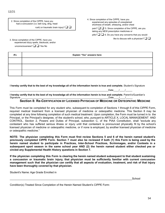2. Since completion of the CIPPE, have you had a concussion (i.e. bell rung, ding, head rush) or traumatic brain injury?  $\Box$   $\Box$ 

3. Since completion of the CIPPE, have you experienced dizzy spells, blackouts, and/or unconsciousness? ❑ ❑ Yes No

4. Since completion of the CIPPE, have you experienced any episodes of unexplained shortness of breath, wheezing, and/or chest pain?  $\Box$   $\Box$  5. Since completion of the CIPPE, are you taking any NEW prescription medicines or pills?  $\Box$   $\Box$  6. Do you have any concerns that you would like to discuss with a physician?  $\Box$   $\Box$ 

| #'s | Explain "Yes" answers here: |
|-----|-----------------------------|
|     |                             |
|     |                             |
|     |                             |

**I hereby certify that to the best of my knowledge all of the information herein is true and complete.** Student's Signature

\_\_\_\_\_\_\_\_\_\_\_\_\_\_\_\_\_\_\_\_\_\_\_\_\_\_\_\_\_\_\_\_\_\_\_\_\_\_\_\_\_\_\_\_\_\_\_\_\_\_\_\_\_\_\_\_\_\_\_\_\_\_\_\_\_\_\_\_\_\_\_\_\_Date\_\_\_\_/\_\_\_\_/\_\_\_\_\_

**I hereby certify that to the best of my knowledge all of the information herein is true and complete.** Parent's/Guardian's Signature<br>Signature Date / / Date  $1 - 1$ 

#### **Section 8: Re-CERTIFICATION BY LICENSED PHYSICIAN OF MEDICINE OR OSTEOPATHIC MEDICINE**

This Form must be completed for any student who, subsequent to completion of Sections 1 through 6 of this CIPPE Form, required medical treatment from a licensed physician of medicine or osteopathic medicine. This Section 8 may be completed at any time following completion of such medical treatment. Upon completion, the Form must be turned in to the Principal, or the Principal's designee, of the student's school, who, pursuant to ARTICLE X, LOCAL MANAGEMENT AND CONTROL, Section 2, Powers and Duties of Principal, subsection C, of the PIAA Constitution, shall "exclude any contestant who has suffered serious illness or injury until that contestant is pronounced physically fit by the school's licensed physician of medicine or osteopathic medicine, or if none is employed, by another licensed physician of medicine or osteopathic medicine."

NOTE: The physician completing this Form must first review Sections 5 and 6 of the herein named student's previously completed CIPPE Form. Section 7 must also be reviewed if both (1) this Form is being used by the **herein named student to participate in Practices, Inter-School Practices, Scrimmages, and/or Contests in a** subsequent sport season in the same school year AND (2) the herein named student either checked yes or **circled any Supplemental Health History questions in Section 7.**

If the physician completing this Form is clearing the herein named student subsequent to that student sustaining **a concussion or traumatic brain injury, that physician must be sufficiently familiar with current concussion** management such that the physician can certify that all aspects of evaluation, treatment, and risk of that injury **have been thoroughly covered by that physician.**

Student's Name: Age Grade Enrolled in

\_\_\_\_\_\_\_\_\_\_\_\_\_\_\_\_\_\_\_\_\_\_\_\_\_\_\_\_\_\_\_\_\_\_\_\_\_\_\_\_\_\_\_\_\_\_\_\_\_\_\_\_\_\_\_\_\_\_\_\_\_\_\_\_\_\_\_\_\_\_\_\_\_\_\_\_\_\_\_\_\_\_School

Condition(s) Treated Since Completion of the Herein Named Student's CIPPE Form: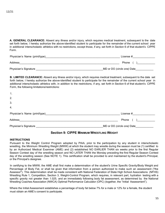**A. GENERAL CLEARANCE:** Absent any illness and/or injury, which requires medical treatment, subsequent to the date set forth below, I hereby authorize the above-identified student to participate for the remainder of the current school year in additional interscholastic athletics with no restrictions, except those, if any, set forth in Section 6 of that student's CIPPE Form.

| Physician's Name (print/type) | License $#$                |
|-------------------------------|----------------------------|
| Address                       | <b>Phone</b>               |
| Physician's Signature         | MD or DO (circle one) Date |

**B. LIMITED CLEARANCE:** Absent any illness and/or injury, which requires medical treatment, subsequent to the date set forth below, I hereby authorize the above-identified student to participate for the remainder of the current school year in additional interscholastic athletics with, in addition to the restrictions, if any, set forth in Section 6 of that student's CIPPE Form, the following limitations/restrictions:

| $\mathbf 1$ .                 |                            |
|-------------------------------|----------------------------|
| 2.                            |                            |
| 3.                            |                            |
| 4.                            |                            |
| Physician's Name (print/type) | License #                  |
| Address                       | Phone                      |
| Physician's Signature         | MD or DO (circle one) Date |

#### **Section 9: CIPPE MINIMUM WRESTLING WEIGHT**

#### **INSTRUCTIONS**

Pursuant to the Weight Control Program adopted by PIAA, prior to the participation by any student in interscholastic wrestling, the Minimum Wrestling Weight (MWW) at which the student may wrestle during the season must be (1) certified to by an Authorized Medical Examiner (AME) and (2) established NO EARLIER THAN six weeks prior to the first Regular Season Contest day of the wrestling season and NO LATER THAN the Monday preceding the first Regular Season Contest day of the wrestling season (See NOTE 1). This certification shall be provided to and maintained by the student's Principal, or the Principal's designee.

In certifying to the MWW, the AME shall first make a determination of the student's Urine Specific Gravity/Body Weight and Percentage of Body Fat, or shall be given that information from a person authorized to make such an assessment ("the Assessor"). This determination shall be made consistent with National Federation of State High School Associations (NFHS) Wrestling Rule 1, Competition, Section 3, Weight-Control Program, which requires, in relevant part, hydration testing with a specific gravity not greater than 1.025, and an immediately following body fat assessment, as determined by the National Wrestling Coaches Association (NWCA) Optimal Performance Calculator (OPC) (together, the "Initial Assessment").

Where the Initial Assessment establishes a percentage of body fat below 7% for a male or 12% for a female, the student must obtain an AME's consent to participate.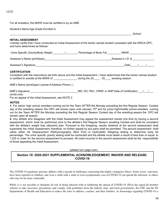For all wrestlers, the MWW must be certified to by an AME.

Student's Name Age Grade Enrolled in

#### **INITIAL ASSESSMENT**

I hereby certify that I have conducted an Initial Assessment of the herein named student consistent with the NWCA OPC, and have determined as follows:

 $\Box$  School

| Urine Specific Gravity/Body Weight | Percentage of Body Fat | <b>MWW</b>        |
|------------------------------------|------------------------|-------------------|
| Assessor's Name (print/type)       |                        | Assessor's I.D. # |

Assessor's Signature\_\_\_\_\_\_\_\_\_\_\_\_\_\_\_\_\_\_\_\_\_\_\_\_\_\_\_\_\_\_\_\_\_\_\_\_\_\_\_\_\_\_\_\_\_\_\_\_\_\_\_\_\_\_\_\_\_\_\_\_Date\_\_\_\_\_/\_\_\_\_\_/\_\_\_\_\_

#### **CERTIFICATION**

Consistent with the instructions set forth above and the Initial Assessment, I have determined that the herein named student is certified to wrestle at the MWW of \_\_\_\_\_\_\_\_\_\_\_\_\_\_\_\_\_\_\_\_ during the 20\_\_\_\_\_ - 20\_\_\_\_\_ wresting season.

AME's Name (print/type) License # Address Phone ( )

| AME's Signature | MD, DO, PAC, CRNP, or SNP Date of Certification |  |
|-----------------|-------------------------------------------------|--|
| (circle one)    |                                                 |  |
|                 |                                                 |  |

For an appeal of the Initial Assessment, see NOTE 2.

#### **NOTES:**

**1.** For senior high school wrestlers coming out for the Team AFTER the Monday preceding the first Regular Season Contest day of the wrestling season the OPC will remain open until January 15<sup>th</sup> and for junior high/middle school wrestlers coming out for the Team AFTER the Monday preceding the first Regular Season Contest day of the wrestling season the OPC will remain open all season.

**2.** Any athlete who disagrees with the Initial Assessment may appeal the assessment results one time by having a second assessment, which shall be performed prior to the athlete's first Regular Season wrestling Contest and shall be consistent with the athlete's weight loss (descent) plan. Pursuant to the foregoing, results obtained at the second assessment shall supersede the Initial Assessment; therefore, no further appeal by any party shall be permitted. The second assessment shall utilize either Air Displacement Plethysmography (Bod Pod) or Hydrostatic Weighing testing to determine body fat percentage. The urine specific gravity testing shall be conducted and the athlete must obtain a result of less than or equal to 1.025 in order for the second assessment to proceed. All costs incurred in the second assessment shall be the responsibility of those appealing the Initial Assessment.

#### (please turn page over)

#### **Section 10: 2020-2021 SUPPLEMENTAL ACKNOWLEDGEMENT, WAIVER AND RELEASE: COVID-19**

The COVID-19 pandemic presents athletes with a myriad of challenges concerning this highly contagious illness. Some severe outcomes have been reported in children, and even a child with a mild or even asymptomatic case of COVID-19 can spread the infection to others who may be far more vulnerable.

While it is not possible to eliminate all risk of being infected with or furthering the spread of COVID-19, PIAA has urged all member schools to take necessary precautions and comply with guidelines from the federal, state, and local governments, the CDC and the PA Departments of Health and Education to reduce the risks to athletes, coaches, and their families. As knowledge regarding COVID-19 is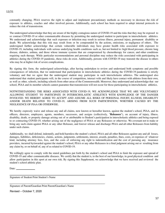constantly changing, PIAA reserves the right to adjust and implement precautionary methods as necessary to decrease the risk of exposure to athletes, coaches and other involved persons. Additionally, each school has been required to adopt internal protocols to reduce the risk of transmission.

The undersigned acknowledge that they are aware of the highly contagious nature of COVID-19 and the risks that they may be exposed to or contract COVID-19 or other communicable diseases by permitting the undersigned student to participate in interscholastic athletics. We understand and acknowledge that such exposure or infection may result in serious illness, personal injury, permanent disability or death. We acknowledge that this risk may result from or be compounded by the actions, omissions, or negligence of others. The undersigned further acknowledge that certain vulnerable individuals may have greater health risks associated with exposure to COVID-19, including individuals with serious underlying health conditions such as, but not limited to: high blood pressure, chronic lung disease, diabetes, asthma, and those whose immune systems that are compromised by chemotherapy for cancer, and other conditions requiring such therapy. While particular recommendations and personal discipline may reduce the risks associated with participating in athletics during the COVID-19 pandemic, these risks do exist. Additionally, persons with COVID-19 may transmit the disease to others who may be at higher risk of severe complications.

By signing this form, the undersigned acknowledge, after having undertaken to review and understand both symptoms and possible consequences of infection, that we understand that participation in interscholastic athletics during the COVID-19 pandemic is strictly voluntary and that we agree that the undersigned student may participate in such interscholastic athletics. The undersigned also understand that student participants will, in the course of competition, interact with and likely have contact with athletes from their own, as well as other, schools, including schools from other areas of the Commonwealth. Moreover, they understand and acknowledge that our school, PIAA and its member schools cannot guarantee that transmission will not occur for those participating in interscholastic athletics.

NOTWITHSTANDING THE RISKS ASSOCIATED WITH COVID-19, WE ACKNOWLEDGE THAT WE ARE VOLUNTARILY ALLOWING STUDENT TO PARTICIPATE IN INTERSCHOLASTIC ATHLETICS WITH KNOWLEDGE OF THE DANGER INVOLVED. WE HEREBY AGREE TO ACCEPT AND ASSUME ALL RISKS OF PERSONAL INJURY, ILLNESS, DISABILITY AND/OR DEATH RELATED TO COVID-19, ARISING FROM SUCH PARTICIPATION, WHETHER CAUSED BY THE NEGLIGENCE OF PIAA OR OTHERWISE.

We hereby expressly waive and release any and all claims, now known or hereafter known, against the student's school, PIAA, and its officers, directors, employees, agents, members, successors, and assigns (collectively, "**Releasees**"), on account of injury, illness, disability, death, or property damage arising out of or attributable to Student's participation in interscholastic athletics and being exposed to or contracting COVID-19, whether arising out of the negligence of PIAA or any Releasees or otherwise. We covenant not to make or bring any such claim against PIAA or any other Releasee, and forever release and discharge PIAA and all other Releasees from liability under such claims.

Additionally, we shall defend, indemnify, and hold harmless the student's school, PIAA and all other Releasees against any and all losses, damages, liabilities, deficiencies, claims, actions, judgments, settlements, interest, awards, penalties, fines, costs, or expenses of whatever kind, including attorney fees, fees, and the costs of enforcing any right to indemnification and the cost of pursuing any insurance providers, incurred by/awarded against the student's school, PIAA or any other Releasees in a final judgment arising out or resulting from any claim by, or on behalf of, any of us related to COVID-19.

We willingly agree to comply with the stated guidelines put forth by the student's school and PIAA to limit the exposure and spread of COVID-19 and other communicable diseases. We certify that the student is, to the best of our knowledge, in good physical condition and allow participation in this sport at our own risk. By signing this Supplement, we acknowledge that we have received and reviewed the student's school athletic plan.

Date: \_\_\_\_\_\_\_\_\_\_\_\_\_\_

Signature of Student Print Student's Name

\_\_\_\_\_\_\_\_\_\_\_\_\_\_\_\_\_\_\_\_\_\_\_\_\_\_\_\_\_\_\_\_\_\_\_\_\_\_\_\_\_\_\_\_\_\_\_\_\_\_\_\_\_\_\_\_\_\_\_\_\_\_\_\_\_\_\_\_\_\_\_

Revised – October 7, 2020

 $\overline{\phantom{a}}$  , and the contribution of the contribution of the contribution of the contribution of the contribution of the contribution of the contribution of the contribution of the contribution of the contribution of the Signature of Parent/Guardian Print Parent/Guardian's Name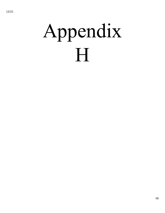# Appendix H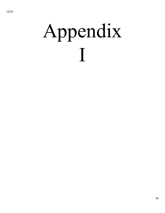# Appendix I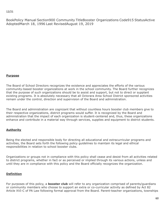#### 12/21

BookPolicy Manual Section900 Community TitleBooster Organizations Code915 StatusActive AdoptedMarch 18, 1996 Last RevisedAugust 19, 2019

#### **Purpose**

The Board of School Directors recognizes the existence and appreciates the efforts of the various community-based booster organizations at work in the school community. The Board further recognizes that the purpose of such organizations should be to assist and support, but not to direct or supplant existing programs. It is absolutely necessary that all Octorara Area School District sponsored activities remain under the control, direction and supervision of the Board and administration.

The Board and administration are cognizant that without countless hours booster club members give to their respective organizations, district programs would suffer. It is recognized by the Board and administration that the impact of each organization is student-centered and, thus, these organizations enhance and contribute in a material way through services, supplies and equipment to district students.

#### **Authority**

Being the elected and responsible body for directing all educational and extracurricular programs and activities, the Board sets forth the following policy guidelines to maintain its legal and ethical responsibilities in relation to school booster clubs.

Organizations or groups not in compliance with this policy shall cease and desist from all activities related to district programs, whether in fact or as perceived or implied through its various actions, unless and until they are in compliance with this policy and the Board officially recognizes the organization.

#### **Definition**

For purposes of this policy, a **booster club** will refer to any organization comprised of parents/guardians or community members who choose to support an extra or co-curricular activity as defined by Act 82 Article XVI-C of PA Law following formal approval from the Board. Parent-teacher organizations, townships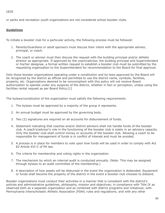#### 12/21

or parks and recreation youth organizations are not considered school booster clubs.

#### **Guidelines**

To initiate a booster club for a particular activity, the following process must be followed:

- 1. Parents/Guardians or adult sponsors must discuss their intent with the appropriate advisor, principal, or coach.
- 2. The coach or advisor must then discuss the request with the building principal and/or athletic director as appropriate. If approved by the coach/advisor, the building principal and Superintendent or his/her designee, a formal written request to establish a booster club must be submitted by the requesting organization to the Superintendent for recommendation to the Board for final approval.

Only those booster organizations operating under a constitution and by-laws approved by the Board will be recognized by the district as official and permitted to use the district name, symbols, facilities, property, etc. Organizations deemed to be noncompliant with this policy will not receive Board authorization to operate under any auspices of the district, whether in fact or perception, unless using the facilities rental request as per Board Policy.[1]

The bylaws/constitution of the organization must satisfy the following requirements:

- 1. The bylaws must be approved by a majority of the group it represents.
- 2. An annual budget must be approved by the governing body.
- 3. Two (2) signatures are required on all accounts for disbursement of funds.
- 4. Statement indicating that coaches and/or district advisors shall not handle funds of the booster club. A coach's/advisor's role in the functioning of the booster club is solely in an advisory capacity. Only the booster club shall control money or accounts of the booster club. Allowing a coach to be responsible for management of funds is in conflict of interest and must be avoided.
- 5. A process is in place for members to vote upon how funds will be used in order to comply with Act 82 Article XVI-C of PA law.
- 6. The criteria for membership and voting rights in the organization.
- 7. The mechanism by which an internal audit is conducted annually. (Note: This may be assigned through bylaws to an audit committee of the membership.)
- 8. A description of how assets will be disbursed in the event the organization is disbanded. Equipment or funds shall become the property of the district in the event a booster club chooses to disband.

Booster organizations must conduct their activities in a manner that is consistent with the district's policies and administrative guidelines, philosophy, mission and objectives; in compliance with Title IX as observed both as a separate organization and as combined with district programs and initiatives; with Pennsylvania Interscholastic Athletic Association (PIAA) rules and regulations; and with any other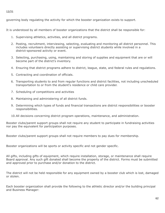governing body regulating the activity for which the booster organization exists to support.

It is understood by all members of booster organizations that the district shall be responsible for:

- 1. Supervising athletics, activities, and all district programs.
- 2. Posting, recruitment, interviewing, selecting, evaluating and monitoring all district personnel. This includes volunteers directly assisting or supervising district students while involved in a district-sponsored activity or event.
- 3. Selecting, purchasing, using, maintaining and storing of supplies and equipment that are or will become part of the district's inventory.
- 4. Ensuring that district programs adhere to district, league, state, and federal rules and regulations.
- 5. Contracting and coordination of officials.
- 6. Transporting students to and from regular functions and district facilities, not including unscheduled transportation to or from the student's residence or child care provider.
- 7. Scheduling of competitions and activities
- 8. Maintaining and administering of all district funds.
- 9. Determining which types of funds and financial transactions are district responsibilities or booster responsibilities.
- 10.All decisions concerning district program operations, maintenance, and administration.

Booster clubs/parent support groups shall not require any student to participate in fundraising activities nor pay the equivalent for participation purposes.

Booster clubs/parent support groups shall not require members to pay dues for membership.

Booster organizations will be sports or activity specific and not gender specific.

All gifts, including gifts of equipment, which require installation, storage, or maintenance shall require Board approval. Any such gift donated shall become the property of the district. Forms must be submitted and approved prior to purchase and/or donation to the district.

The district will not be held responsible for any equipment owned by a booster club which is lost, damaged or stolen.

Each booster organization shall provide the following to the athletic director and/or the building principal and Business Manager: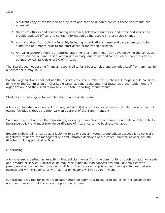#### 1. A current copy of constitution and by-laws and provide updated copies if these documents are amended.

- 2. Names of officers and corresponding addresses, telephone numbers, and email addresses and provide updated officer and contact information as the people in these roles change.
- 3. Annual budget from July 1 June 30; including organization's name and date submitted to be submitted one month prior to the start of the organization's season.
- 4. Annual Treasurer's Report or external audit no later than ninety (90) days following the conclusion of the season, or June 30 if a year-round activity, and forwarded to the Board upon request as defined by Act 82 Article XVI-C of PA Law.

The Board does not assume financial responsibility for a booster club and excludes itself from any liability a booster club may incur.

Booster organizations shall not use the district's tax-free number for purchases. Groups should consider filing with the Commission on Charitable Organizations, Department of State, as a charitable nonprofit organization, and they shall follow any IRS State Reporting requirements.

Students are not eligible for membership in any booster club.

A booster club shall not contract with any individual(s) or entities for services that take place on district owned facilities without the prior written approval of the Superintendent.

Such approval will require the individual(s) or entity to maintain a minimum of one million dollar liability insurance policy, and must provide certificates of insurance to the Business Manager.

Booster clubs shall not serve as a lobbying force or special interest group whose purpose is to control or negatively influence the managerial or administrative decisions of the coach, director, advisor, athletic director, building principal or Board.

#### **Fundraising**

A **fundraiser** is defined as an activity that solicits monies from the community through donation or a sale of a product or service. Booster clubs may raise funds by food concessions and like activities with preapproval of the building principal or athletic director as appropriate. Fundraising activities that are inconsistent with this policy or with district philosophy will not be permitted.

Fundraising activities for each organization must be submitted to the principal or his/her designee for approval to assure that there is no duplication of items.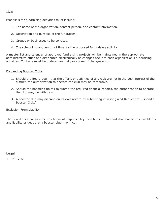#### 12/21

Proposals for fundraising activities must include:

- 1. The name of the organization, contact person, and contact information.
- 2. Description and purpose of the fundraiser.
- 3. Groups or businesses to be solicited.
- 4. The scheduling and length of time for the proposed fundraising activity.

A master list and calendar of approved fundraising projects will be maintained in the appropriate administrative office and distributed electronically as changes occur to each organization's fundraising activities. Contacts must be updated annually or sooner if changes occur.

#### Disbanding Booster Clubs

- 1. Should the Board deem that the efforts or activities of any club are not in the best interest of the district, the authorization to operate the club may be withdrawn.
- 2. Should the booster club fail to submit the required financial reports, the authorization to operate the club may be withdrawn.
- 3. A booster club may disband on its own accord by submitting in writing a "A Request to Disband a Booster Club."

#### Exclusion From Liability

The Board does not assume any financial responsibility for a booster club and shall not be responsible for any liability or debt that a booster club may incur.

Legal 1. Pol. 707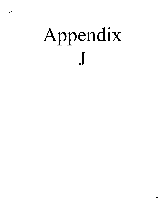# Appendix J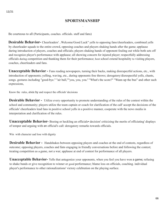### **SPORTSMANSHIP**

*.*

Be courteous to all (Participants, coaches. officials. staff and fans)

**Desirable Behavior-** Cheerleaders' ..Welcome/Good Luck" yells to opposing fans/cheerleaders, combined yells by cheerleader squads to the entire crowd, opposing coaches and players shaking hands after the game; applause during introduction of players, coaches and officials; players shaking hands of opponent fouling out while both sets off and recognize player's performance with applause; all showing concern for injured player; respectfully addressing officials during competition and thanking them for their performance; host school extend hospitality to visiting players, coaches, cheerleaders and fans.

**Unacceptable Behavior -** Fans reading newspapers, turning their backs, making disrespectful actions, etc., with introduction of opponents; yelling, waving, etc., during opponents free throws; derogatory/disrespectful yells, chants, songs. gestures including "good-bye." ''air ball,""you, you, you.'' ''What's the score?" "Wann up the bus" and other such expressions,

Know the rules, abide by and respect the officials' decisions

**Desirable Behavior** - Utilize every opportunity to promote understanding of the rules of the contest within the school and community; players utilize the team captain or coach for clarification of the call' accept the decisions of the officials' cheerleaders lead fans in positive school yells in a positive manner, cooperate with the news media in interpretation and clarification of the rules.

**Unacceptable Behavior-** Booing or heckling an officials• decision' criticizing the merits of officiating' displays of temper and arguing with an official's call: derogatory remarks towards officials.

Win with character aad lose with dignity

**Desirable Behavior** - Handshakes between opposing players and coaches at the end of contests, regardless of outcome; opposing players, coaches and fans engaging in friendly conversations before and following the contest; treating competition as a game, not a war; applause at end of contest for performance of all players.

**Unacceptable Behavior-** Yells that antagonize your opponents, when you feel you have won a game**;** refusing to shake bands or give recognition to winner or good performance; blame loss on officials, coaching. individual player's performance to other rationalizations' victory celebration on the playing surface.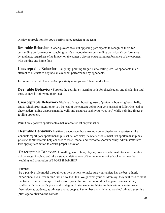Display appreciation for good performance repelen of the team

**Desirable Behavior-** Coach/players seek out opposing participants to recognize them for outstanding performance or coaching; all fans recognize an outstanding participant's performance by applause, regardless of its impact on the contest, discuss outstanding performance of the opponent with visiting and home fans.

**Unacceptable Behavior-** Laughing, pointing finger, name calling, etc., of opponents in an attempt to distract; to degrade an excellent performance by opponents.

Exercise self-control aaad reflect positivity upon yourself, team and school

**Desirable Behavior-** Support the activity by learning yells for cheerleaders and displaying total unity as fans in following their lead.

**Unacceptable Behavior-** Displays of anger, boasting, use of profanity, bouncing beach balls, antics which draw attention to you instead of the contest; doing own yells instead of following lead of cheerleaders; doing unsportsmanlike yells and gestures; such :you, you, you" while pointing finger at fouling opponent.

Permit only positive sportsmanlike behavior to reflect on your school

**Desirable Behavior-** Positively encourage those around you to display only sportsmanlike conduct; report poor sportsmanship to school officials; member schools insist that sportsmanship be a priority; administrators help coaches to teach, model and reinforce sportsmanship; administrators will take appropriate action to ensure proper behavior.

**Unacceptable Behavior**- Unwillingness of fans, players, coaches, administrators and member school to get involved and take a stand to defend one of the main tenets of school activities- the teaching and promotion of SPORTSMANSHIP.

#### **Parents**

Be a positive role model through your own actions to make sure your athlete has the best athletic experience. Be a ·•team fan", not a "my kid" fan. Weigh what your children say; they will tend to slant the truth to their advantage. Don't instruct your children before or after the game. because it may conflict with the coach's plans and strategies. Praise student-athletes in their attempts to improve themselves as students, as athletes and as people. Remember that a ticket to a school athletic event is a privilege to observe the contest.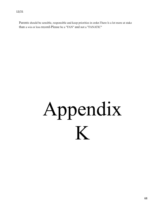Parents should be sensible, responsible and keep priorities in order.There ls a lot more at stake than a win or loss record-Please be a "FAN" and not a "FANATIC"

# Appendix K